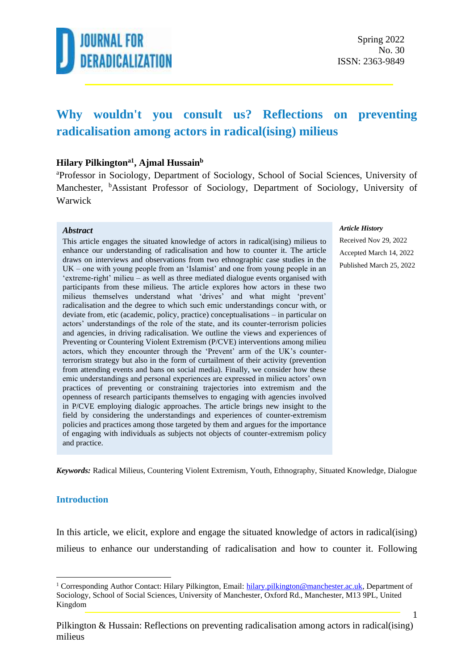

### **Why wouldn't you consult us? Reflections on preventing radicalisation among actors in radical(ising) milieus**

#### **Hilary Pilkingtona1 , Ajmal Hussain<sup>b</sup>**

<sup>a</sup>Professor in Sociology, Department of Sociology, School of Social Sciences, University of Manchester, <sup>b</sup>Assistant Professor of Sociology, Department of Sociology, University of Warwick

#### *Abstract*

This article engages the situated knowledge of actors in radical(ising) milieus to enhance our understanding of radicalisation and how to counter it. The article draws on interviews and observations from two ethnographic case studies in the UK – one with young people from an 'Islamist' and one from young people in an 'extreme-right' milieu – as well as three mediated dialogue events organised with participants from these milieus. The article explores how actors in these two milieus themselves understand what 'drives' and what might 'prevent' radicalisation and the degree to which such emic understandings concur with, or deviate from, etic (academic, policy, practice) conceptualisations – in particular on actors' understandings of the role of the state, and its counter-terrorism policies and agencies, in driving radicalisation. We outline the views and experiences of Preventing or Countering Violent Extremism (P/CVE) interventions among milieu actors, which they encounter through the 'Prevent' arm of the UK's counterterrorism strategy but also in the form of curtailment of their activity (prevention from attending events and bans on social media). Finally, we consider how these emic understandings and personal experiences are expressed in milieu actors' own practices of preventing or constraining trajectories into extremism and the openness of research participants themselves to engaging with agencies involved in P/CVE employing dialogic approaches. The article brings new insight to the field by considering the understandings and experiences of counter-extremism policies and practices among those targeted by them and argues for the importance of engaging with individuals as subjects not objects of counter-extremism policy and practice.

#### *Article History*

Received Nov 29, 2022 Accepted March 14, 2022 Published March 25, 2022

*Keywords:* Radical Milieus, Countering Violent Extremism, Youth, Ethnography, Situated Knowledge, Dialogue

#### **Introduction**

In this article, we elicit, explore and engage the situated knowledge of actors in radical(ising) milieus to enhance our understanding of radicalisation and how to counter it. Following

<sup>&</sup>lt;sup>1</sup> Corresponding Author Contact: Hilary Pilkington, Email: [hilary.pilkington@manchester.ac.uk,](mailto:hilary.pilkington@manchester.ac.uk) Department of Sociology, School of Social Sciences, University of Manchester, Oxford Rd., Manchester, M13 9PL, United Kingdom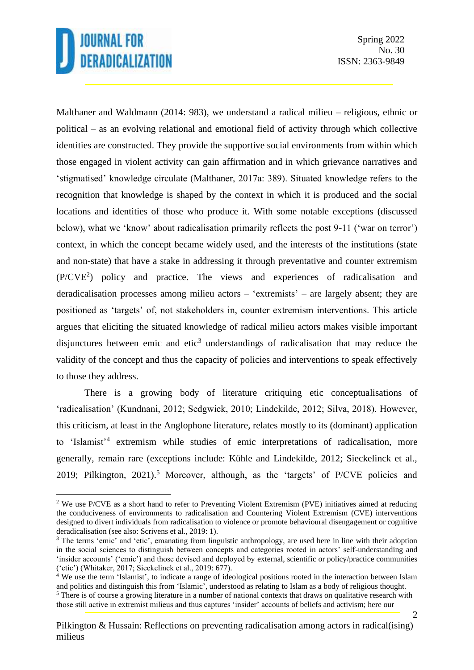Spring 2022 No. 30 ISSN: 2363-9849

Malthaner and Waldmann (2014: 983), we understand a radical milieu – religious, ethnic or political – as an evolving relational and emotional field of activity through which collective identities are constructed. They provide the supportive social environments from within which those engaged in violent activity can gain affirmation and in which grievance narratives and 'stigmatised' knowledge circulate (Malthaner, 2017a: 389). Situated knowledge refers to the recognition that knowledge is shaped by the context in which it is produced and the social locations and identities of those who produce it. With some notable exceptions (discussed below), what we 'know' about radicalisation primarily reflects the post 9-11 ('war on terror') context, in which the concept became widely used, and the interests of the institutions (state and non-state) that have a stake in addressing it through preventative and counter extremism (P/CVE<sup>2</sup> ) policy and practice. The views and experiences of radicalisation and deradicalisation processes among milieu actors – 'extremists' – are largely absent; they are positioned as 'targets' of, not stakeholders in, counter extremism interventions. This article argues that eliciting the situated knowledge of radical milieu actors makes visible important disjunctures between emic and etic<sup>3</sup> understandings of radicalisation that may reduce the validity of the concept and thus the capacity of policies and interventions to speak effectively to those they address.

There is a growing body of literature critiquing etic conceptualisations of 'radicalisation' (Kundnani, 2012; Sedgwick, 2010; Lindekilde, 2012; Silva, 2018). However, this criticism, at least in the Anglophone literature, relates mostly to its (dominant) application to 'Islamist'<sup>4</sup> extremism while studies of emic interpretations of radicalisation, more generally, remain rare (exceptions include: Kühle and Lindekilde, 2012; Sieckelinck et al., 2019; Pilkington, 2021).<sup>5</sup> Moreover, although, as the 'targets' of  $P/CVE$  policies and

<sup>&</sup>lt;sup>2</sup> We use P/CVE as a short hand to refer to Preventing Violent Extremism (PVE) initiatives aimed at reducing the conduciveness of environments to radicalisation and Countering Violent Extremism (CVE) interventions designed to divert individuals from radicalisation to violence or promote behavioural disengagement or cognitive deradicalisation (see also: Scrivens et al., 2019: 1).

<sup>&</sup>lt;sup>3</sup> The terms 'emic' and 'etic', emanating from linguistic anthropology, are used here in line with their adoption in the social sciences to distinguish between concepts and categories rooted in actors' self-understanding and 'insider accounts' ('emic') and those devised and deployed by external, scientific or policy/practice communities ('etic') (Whitaker, 2017; Sieckelinck et al., 2019: 677).

<sup>&</sup>lt;sup>4</sup> We use the term 'Islamist', to indicate a range of ideological positions rooted in the interaction between Islam and politics and distinguish this from 'Islamic', understood as relating to Islam as a body of religious thought. <sup>5</sup> There is of course a growing literature in a number of national contexts that draws on qualitative research with those still active in extremist milieus and thus captures 'insider' accounts of beliefs and activism; here our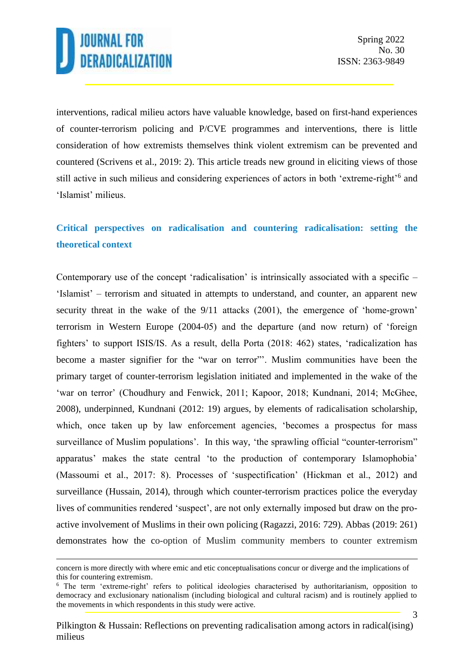interventions, radical milieu actors have valuable knowledge, based on first-hand experiences of counter-terrorism policing and P/CVE programmes and interventions, there is little consideration of how extremists themselves think violent extremism can be prevented and countered (Scrivens et al., 2019: 2). This article treads new ground in eliciting views of those still active in such milieus and considering experiences of actors in both 'extreme-right'<sup>6</sup> and 'Islamist' milieus.

### **Critical perspectives on radicalisation and countering radicalisation: setting the theoretical context**

Contemporary use of the concept 'radicalisation' is intrinsically associated with a specific – 'Islamist' – terrorism and situated in attempts to understand, and counter, an apparent new security threat in the wake of the 9/11 attacks (2001), the emergence of 'home-grown' terrorism in Western Europe (2004-05) and the departure (and now return) of 'foreign fighters' to support ISIS/IS. As a result, della Porta (2018: 462) states, 'radicalization has become a master signifier for the "war on terror"'. Muslim communities have been the primary target of counter-terrorism legislation initiated and implemented in the wake of the 'war on terror' (Choudhury and Fenwick, 2011; Kapoor, 2018; Kundnani, 2014; McGhee, 2008), underpinned, Kundnani (2012: 19) argues, by elements of radicalisation scholarship, which, once taken up by law enforcement agencies, 'becomes a prospectus for mass surveillance of Muslim populations'. In this way, 'the sprawling official "counter-terrorism" apparatus' makes the state central 'to the production of contemporary Islamophobia' (Massoumi et al., 2017: 8). Processes of 'suspectification' (Hickman et al., 2012) and surveillance (Hussain, 2014), through which counter-terrorism practices police the everyday lives of communities rendered 'suspect', are not only externally imposed but draw on the proactive involvement of Muslims in their own policing (Ragazzi, 2016: 729). Abbas (2019: 261) demonstrates how the co-option of Muslim community members to counter extremism

concern is more directly with where emic and etic conceptualisations concur or diverge and the implications of this for countering extremism.

<sup>6</sup> The term 'extreme-right' refers to political ideologies characterised by authoritarianism, opposition to democracy and exclusionary nationalism (including biological and cultural racism) and is routinely applied to the movements in which respondents in this study were active.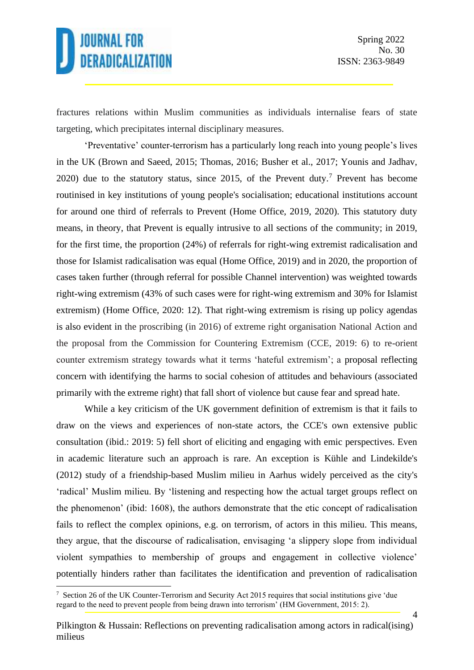4

fractures relations within Muslim communities as individuals internalise fears of state targeting, which precipitates internal disciplinary measures.

'Preventative' counter-terrorism has a particularly long reach into young people's lives in the UK (Brown and Saeed, 2015; Thomas, 2016; Busher et al., 2017; Younis and Jadhav, 2020) due to the statutory status, since 2015, of the Prevent duty.<sup>7</sup> Prevent has become routinised in key institutions of young people's socialisation; educational institutions account for around one third of referrals to Prevent (Home Office, 2019, 2020). This statutory duty means, in theory, that Prevent is equally intrusive to all sections of the community; in 2019, for the first time, the proportion (24%) of referrals for right-wing extremist radicalisation and those for Islamist radicalisation was equal (Home Office, 2019) and in 2020, the proportion of cases taken further (through referral for possible Channel intervention) was weighted towards right-wing extremism (43% of such cases were for right-wing extremism and 30% for Islamist extremism) (Home Office, 2020: 12). That right-wing extremism is rising up policy agendas is also evident in the proscribing (in 2016) of extreme right organisation National Action and the proposal from the Commission for Countering Extremism (CCE, 2019: 6) to re-orient counter extremism strategy towards what it terms 'hateful extremism'; a proposal reflecting concern with identifying the harms to social cohesion of attitudes and behaviours (associated primarily with the extreme right) that fall short of violence but cause fear and spread hate.

While a key criticism of the UK government definition of extremism is that it fails to draw on the views and experiences of non-state actors, the CCE's own extensive public consultation (ibid.: 2019: 5) fell short of eliciting and engaging with emic perspectives. Even in academic literature such an approach is rare. An exception is Kühle and Lindekilde's (2012) study of a friendship-based Muslim milieu in Aarhus widely perceived as the city's 'radical' Muslim milieu. By 'listening and respecting how the actual target groups reflect on the phenomenon' (ibid: 1608), the authors demonstrate that the etic concept of radicalisation fails to reflect the complex opinions, e.g. on terrorism, of actors in this milieu. This means, they argue, that the discourse of radicalisation, envisaging 'a slippery slope from individual violent sympathies to membership of groups and engagement in collective violence' potentially hinders rather than facilitates the identification and prevention of radicalisation

<sup>&</sup>lt;sup>7</sup> Section 26 of the UK Counter-Terrorism and Security Act 2015 requires that social institutions give 'due regard to the need to prevent people from being drawn into terrorism' (HM Government, 2015: 2).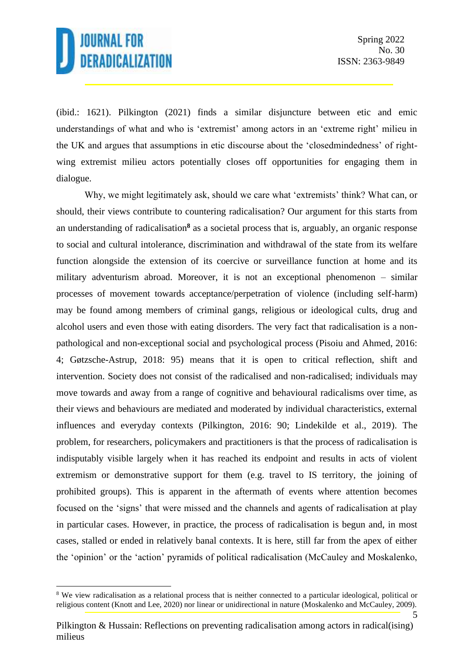5

(ibid.: 1621). Pilkington (2021) finds a similar disjuncture between etic and emic understandings of what and who is 'extremist' among actors in an 'extreme right' milieu in the UK and argues that assumptions in etic discourse about the 'closedmindedness' of rightwing extremist milieu actors potentially closes off opportunities for engaging them in dialogue.

Why, we might legitimately ask, should we care what 'extremists' think? What can, or should, their views contribute to countering radicalisation? Our argument for this starts from an understanding of radicalisation**<sup>8</sup>** as a societal process that is, arguably, an organic response to social and cultural intolerance, discrimination and withdrawal of the state from its welfare function alongside the extension of its coercive or surveillance function at home and its military adventurism abroad. Moreover, it is not an exceptional phenomenon – similar processes of movement towards acceptance/perpetration of violence (including self-harm) may be found among members of criminal gangs, religious or ideological cults, drug and alcohol users and even those with eating disorders. The very fact that radicalisation is a nonpathological and non-exceptional social and psychological process (Pisoiu and Ahmed, 2016: 4; Gøtzsche-Astrup, 2018: 95) means that it is open to critical reflection, shift and intervention. Society does not consist of the radicalised and non-radicalised; individuals may move towards and away from a range of cognitive and behavioural radicalisms over time, as their views and behaviours are mediated and moderated by individual characteristics, external influences and everyday contexts (Pilkington, 2016: 90; Lindekilde et al., 2019). The problem, for researchers, policymakers and practitioners is that the process of radicalisation is indisputably visible largely when it has reached its endpoint and results in acts of violent extremism or demonstrative support for them (e.g. travel to IS territory, the joining of prohibited groups). This is apparent in the aftermath of events where attention becomes focused on the 'signs' that were missed and the channels and agents of radicalisation at play in particular cases. However, in practice, the process of radicalisation is begun and, in most cases, stalled or ended in relatively banal contexts. It is here, still far from the apex of either the 'opinion' or the 'action' pyramids of political radicalisation (McCauley and Moskalenko,

<sup>8</sup> We view radicalisation as a relational process that is neither connected to a particular ideological, political or religious content (Knott and Lee, 2020) nor linear or unidirectional in nature (Moskalenko and McCauley, 2009).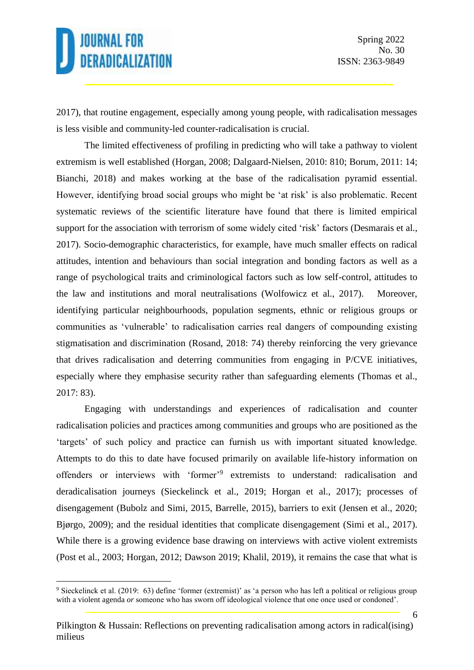6

2017), that routine engagement, especially among young people, with radicalisation messages is less visible and community-led counter-radicalisation is crucial.

The limited effectiveness of profiling in predicting who will take a pathway to violent extremism is well established (Horgan, 2008; Dalgaard-Nielsen, 2010: 810; Borum, 2011: 14; Bianchi, 2018) and makes working at the base of the radicalisation pyramid essential. However, identifying broad social groups who might be 'at risk' is also problematic. Recent systematic reviews of the scientific literature have found that there is limited empirical support for the association with terrorism of some widely cited 'risk' factors (Desmarais et al., 2017). Socio-demographic characteristics, for example, have much smaller effects on radical attitudes, intention and behaviours than social integration and bonding factors as well as a range of psychological traits and criminological factors such as low self-control, attitudes to the law and institutions and moral neutralisations (Wolfowicz et al., 2017). Moreover, identifying particular neighbourhoods, population segments, ethnic or religious groups or communities as 'vulnerable' to radicalisation carries real dangers of compounding existing stigmatisation and discrimination (Rosand, 2018: 74) thereby reinforcing the very grievance that drives radicalisation and deterring communities from engaging in P/CVE initiatives, especially where they emphasise security rather than safeguarding elements (Thomas et al., 2017: 83).

Engaging with understandings and experiences of radicalisation and counter radicalisation policies and practices among communities and groups who are positioned as the 'targets' of such policy and practice can furnish us with important situated knowledge. Attempts to do this to date have focused primarily on available life-history information on offenders or interviews with 'former'<sup>9</sup> extremists to understand: radicalisation and deradicalisation journeys (Sieckelinck et al., 2019; Horgan et al., 2017); processes of disengagement (Bubolz and Simi, 2015, Barrelle, 2015), barriers to exit (Jensen et al., 2020; Bjørgo, 2009); and the residual identities that complicate disengagement (Simi et al., 2017). While there is a growing evidence base drawing on interviews with active violent extremists (Post et al., 2003; Horgan, 2012; Dawson 2019; Khalil, 2019), it remains the case that what is

<sup>9</sup> Sieckelinck et al. (2019: 63) define 'former (extremist)' as 'a person who has left a political or religious group with a violent agenda *or* someone who has sworn off ideological violence that one once used or condoned'.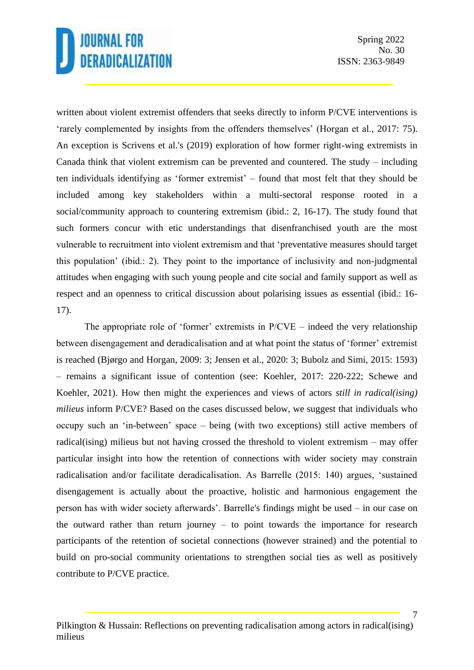written about violent extremist offenders that seeks directly to inform P/CVE interventions is 'rarely complemented by insights from the offenders themselves' (Horgan et al., 2017: 75). An exception is Scrivens et al.'s (2019) exploration of how former right-wing extremists in Canada think that violent extremism can be prevented and countered. The study – including ten individuals identifying as 'former extremist' – found that most felt that they should be included among key stakeholders within a multi-sectoral response rooted in a social/community approach to countering extremism (ibid.: 2, 16-17). The study found that such formers concur with etic understandings that disenfranchised youth are the most vulnerable to recruitment into violent extremism and that 'preventative measures should target this population' (ibid.: 2). They point to the importance of inclusivity and non-judgmental attitudes when engaging with such young people and cite social and family support as well as respect and an openness to critical discussion about polarising issues as essential (ibid.: 16- 17).

The appropriate role of 'former' extremists in  $P/CVE$  – indeed the very relationship between disengagement and deradicalisation and at what point the status of 'former' extremist is reached (Bjørgo and Horgan, 2009: 3; Jensen et al., 2020: 3; Bubolz and Simi, 2015: 1593) – remains a significant issue of contention (see: Koehler, 2017: 220-222; Schewe and Koehler, 2021). How then might the experiences and views of actors *still in radical(ising) milieus* inform P/CVE? Based on the cases discussed below, we suggest that individuals who occupy such an 'in-between' space – being (with two exceptions) still active members of radical(ising) milieus but not having crossed the threshold to violent extremism – may offer particular insight into how the retention of connections with wider society may constrain radicalisation and/or facilitate deradicalisation. As Barrelle (2015: 140) argues, 'sustained disengagement is actually about the proactive, holistic and harmonious engagement the person has with wider society afterwards'. Barrelle's findings might be used – in our case on the outward rather than return journey – to point towards the importance for research participants of the retention of societal connections (however strained) and the potential to build on pro-social community orientations to strengthen social ties as well as positively contribute to P/CVE practice.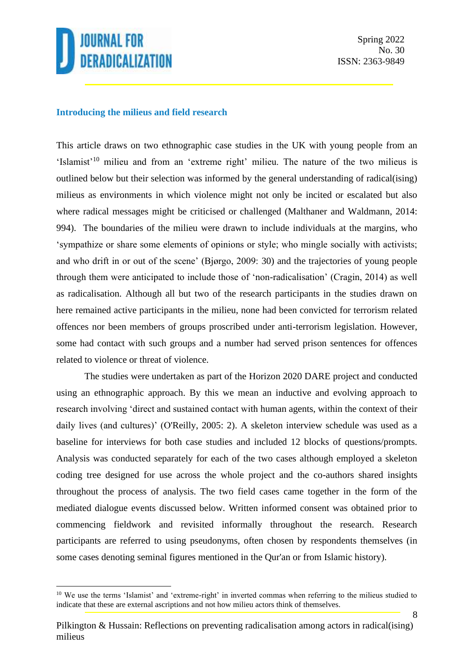

#### **Introducing the milieus and field research**

This article draws on two ethnographic case studies in the UK with young people from an 'Islamist'<sup>10</sup> milieu and from an 'extreme right' milieu. The nature of the two milieus is outlined below but their selection was informed by the general understanding of radical(ising) milieus as environments in which violence might not only be incited or escalated but also where radical messages might be criticised or challenged (Malthaner and Waldmann, 2014: 994). The boundaries of the milieu were drawn to include individuals at the margins, who 'sympathize or share some elements of opinions or style; who mingle socially with activists; and who drift in or out of the scene' (Bjørgo, 2009: 30) and the trajectories of young people through them were anticipated to include those of 'non-radicalisation' (Cragin, 2014) as well as radicalisation. Although all but two of the research participants in the studies drawn on here remained active participants in the milieu, none had been convicted for terrorism related offences nor been members of groups proscribed under anti-terrorism legislation. However, some had contact with such groups and a number had served prison sentences for offences related to violence or threat of violence.

The studies were undertaken as part of the Horizon 2020 DARE project and conducted using an ethnographic approach. By this we mean an inductive and evolving approach to research involving 'direct and sustained contact with human agents, within the context of their daily lives (and cultures)' (O'Reilly, 2005: 2). A skeleton interview schedule was used as a baseline for interviews for both case studies and included 12 blocks of questions/prompts. Analysis was conducted separately for each of the two cases although employed a skeleton coding tree designed for use across the whole project and the co-authors shared insights throughout the process of analysis. The two field cases came together in the form of the mediated dialogue events discussed below. Written informed consent was obtained prior to commencing fieldwork and revisited informally throughout the research. Research participants are referred to using pseudonyms, often chosen by respondents themselves (in some cases denoting seminal figures mentioned in the Qur'an or from Islamic history).

<sup>&</sup>lt;sup>10</sup> We use the terms 'Islamist' and 'extreme-right' in inverted commas when referring to the milieus studied to indicate that these are external ascriptions and not how milieu actors think of themselves.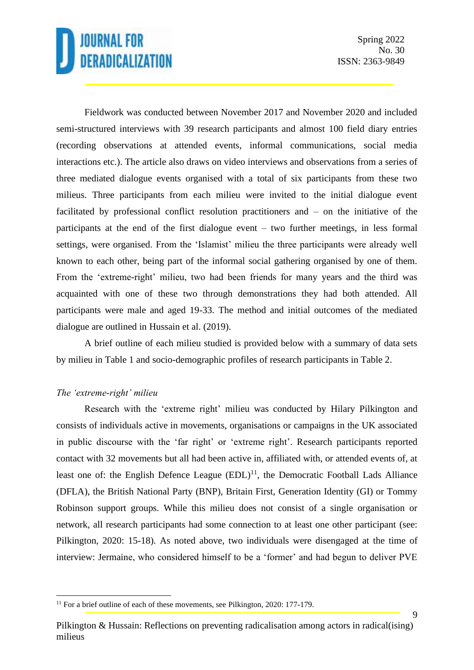9

Fieldwork was conducted between November 2017 and November 2020 and included semi-structured interviews with 39 research participants and almost 100 field diary entries (recording observations at attended events, informal communications, social media interactions etc.). The article also draws on video interviews and observations from a series of three mediated dialogue events organised with a total of six participants from these two milieus. Three participants from each milieu were invited to the initial dialogue event facilitated by professional conflict resolution practitioners and – on the initiative of the participants at the end of the first dialogue event – two further meetings, in less formal settings, were organised. From the 'Islamist' milieu the three participants were already well known to each other, being part of the informal social gathering organised by one of them. From the 'extreme-right' milieu, two had been friends for many years and the third was acquainted with one of these two through demonstrations they had both attended. All participants were male and aged 19-33. The method and initial outcomes of the mediated dialogue are outlined in Hussain et al. (2019).

A brief outline of each milieu studied is provided below with a summary of data sets by milieu in Table 1 and socio-demographic profiles of research participants in Table 2.

#### *The 'extreme-right' milieu*

Research with the 'extreme right' milieu was conducted by Hilary Pilkington and consists of individuals active in movements, organisations or campaigns in the UK associated in public discourse with the 'far right' or 'extreme right'. Research participants reported contact with 32 movements but all had been active in, affiliated with, or attended events of, at least one of: the English Defence League  $(EDL)^{11}$ , the Democratic Football Lads Alliance (DFLA), the British National Party (BNP), Britain First, Generation Identity (GI) or Tommy Robinson support groups. While this milieu does not consist of a single organisation or network, all research participants had some connection to at least one other participant (see: Pilkington, 2020: 15-18). As noted above, two individuals were disengaged at the time of interview: Jermaine, who considered himself to be a 'former' and had begun to deliver PVE

<sup>&</sup>lt;sup>11</sup> For a brief outline of each of these movements, see Pilkington, 2020: 177-179.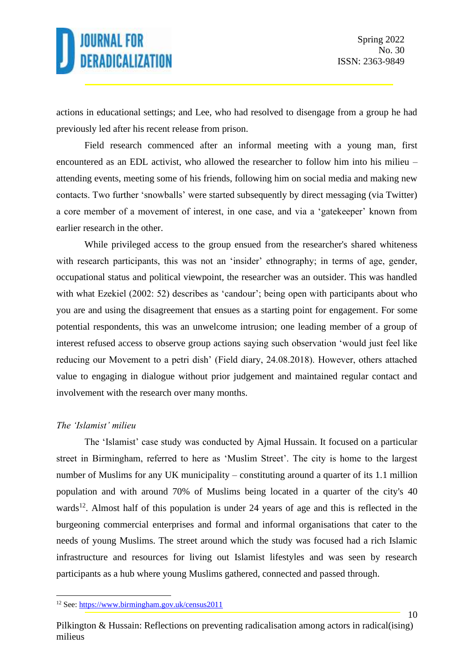actions in educational settings; and Lee, who had resolved to disengage from a group he had previously led after his recent release from prison.

Field research commenced after an informal meeting with a young man, first encountered as an EDL activist, who allowed the researcher to follow him into his milieu – attending events, meeting some of his friends, following him on social media and making new contacts. Two further 'snowballs' were started subsequently by direct messaging (via Twitter) a core member of a movement of interest, in one case, and via a 'gatekeeper' known from earlier research in the other.

While privileged access to the group ensued from the researcher's shared whiteness with research participants, this was not an 'insider' ethnography; in terms of age, gender, occupational status and political viewpoint, the researcher was an outsider. This was handled with what Ezekiel (2002: 52) describes as 'candour'; being open with participants about who you are and using the disagreement that ensues as a starting point for engagement. For some potential respondents, this was an unwelcome intrusion; one leading member of a group of interest refused access to observe group actions saying such observation 'would just feel like reducing our Movement to a petri dish' (Field diary, 24.08.2018). However, others attached value to engaging in dialogue without prior judgement and maintained regular contact and involvement with the research over many months.

#### *The 'Islamist' milieu*

The 'Islamist' case study was conducted by Ajmal Hussain. It focused on a particular street in Birmingham, referred to here as 'Muslim Street'. The city is home to the largest number of Muslims for any UK municipality – constituting around a quarter of its 1.1 million population and with around 70% of Muslims being located in a quarter of the city's 40 wards<sup>12</sup>. Almost half of this population is under 24 years of age and this is reflected in the burgeoning commercial enterprises and formal and informal organisations that cater to the needs of young Muslims. The street around which the study was focused had a rich Islamic infrastructure and resources for living out Islamist lifestyles and was seen by research participants as a hub where young Muslims gathered, connected and passed through.

<sup>12</sup> See:<https://www.birmingham.gov.uk/census2011>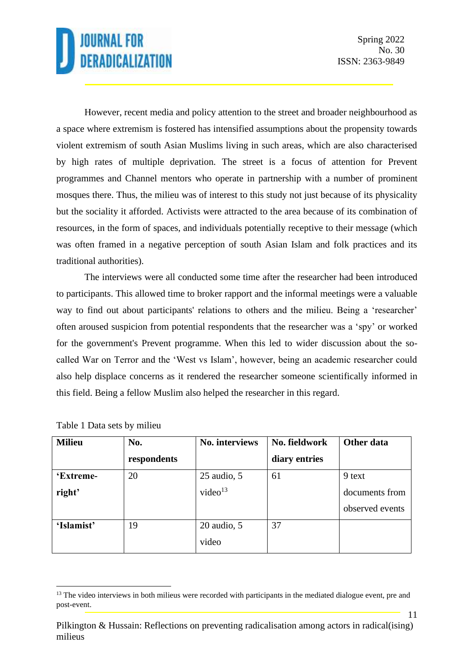11

However, recent media and policy attention to the street and broader neighbourhood as a space where extremism is fostered has intensified assumptions about the propensity towards violent extremism of south Asian Muslims living in such areas, which are also characterised by high rates of multiple deprivation. The street is a focus of attention for Prevent programmes and Channel mentors who operate in partnership with a number of prominent mosques there. Thus, the milieu was of interest to this study not just because of its physicality but the sociality it afforded. Activists were attracted to the area because of its combination of resources, in the form of spaces, and individuals potentially receptive to their message (which was often framed in a negative perception of south Asian Islam and folk practices and its traditional authorities).

The interviews were all conducted some time after the researcher had been introduced to participants. This allowed time to broker rapport and the informal meetings were a valuable way to find out about participants' relations to others and the milieu. Being a 'researcher' often aroused suspicion from potential respondents that the researcher was a 'spy' or worked for the government's Prevent programme. When this led to wider discussion about the socalled War on Terror and the 'West vs Islam', however, being an academic researcher could also help displace concerns as it rendered the researcher someone scientifically informed in this field. Being a fellow Muslim also helped the researcher in this regard.

| <b>Milieu</b> | No.         | No. interviews      | No. fieldwork | Other data      |
|---------------|-------------|---------------------|---------------|-----------------|
|               | respondents |                     | diary entries |                 |
| 'Extreme-     | 20          | $25$ audio, $5$     | 61            | 9 text          |
| right'        |             | video <sup>13</sup> |               | documents from  |
|               |             |                     |               | observed events |
| 'Islamist'    | 19          | $20$ audio, $5$     | 37            |                 |
|               |             | video               |               |                 |

Table 1 Data sets by milieu

<sup>&</sup>lt;sup>13</sup> The video interviews in both milieus were recorded with participants in the mediated dialogue event, pre and post-event.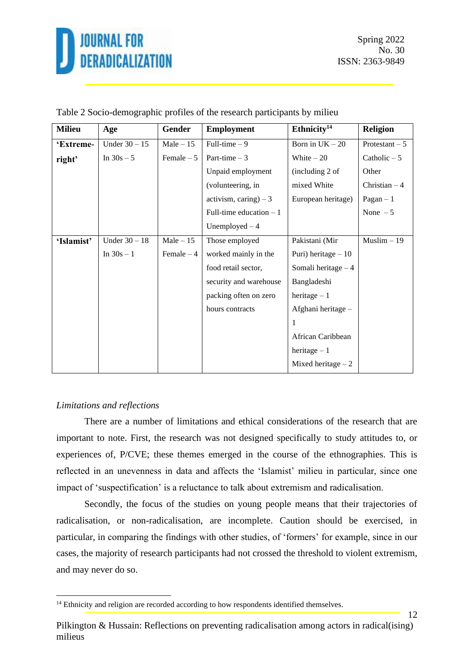

| <b>Milieu</b> | Age             | Gender      | <b>Employment</b>        | Ethnicity <sup>14</sup> | <b>Religion</b> |  |
|---------------|-----------------|-------------|--------------------------|-------------------------|-----------------|--|
| 'Extreme-     | Under $30 - 15$ | $Male - 15$ | Full-time $-9$           | Born in $UK - 20$       | Protestant $-5$ |  |
| right'        | In $30s - 5$    | Female $-5$ | Part-time $-3$           | White $-20$             | Catholic $-5$   |  |
|               |                 |             | Unpaid employment        | (including 2 of         | Other           |  |
|               |                 |             | (volunteering, in        | mixed White             | Christian $-4$  |  |
|               |                 |             | activism, caring) $-3$   | European heritage)      | $Pagan - 1$     |  |
|               |                 |             | Full-time education $-1$ |                         | None $-5$       |  |
|               |                 |             | Unemployed $-4$          |                         |                 |  |
| 'Islamist'    | Under $30 - 18$ | $Male - 15$ | Those employed           | Pakistani (Mir          | $Muslim - 19$   |  |
|               | In $30s - 1$    | Female $-4$ | worked mainly in the     | Puri) heritage $-10$    |                 |  |
|               |                 |             | food retail sector,      | Somali heritage $-4$    |                 |  |
|               |                 |             | security and warehouse   | Bangladeshi             |                 |  |
|               |                 |             | packing often on zero    | heritage $-1$           |                 |  |
|               |                 |             | hours contracts          | Afghani heritage -      |                 |  |
|               |                 |             |                          | 1                       |                 |  |
|               |                 |             |                          | African Caribbean       |                 |  |
|               |                 |             |                          | heritage $-1$           |                 |  |
|               |                 |             |                          | Mixed heritage $-2$     |                 |  |

|  |  |  | Table 2 Socio-demographic profiles of the research participants by milieu |  |  |
|--|--|--|---------------------------------------------------------------------------|--|--|
|  |  |  |                                                                           |  |  |

#### *Limitations and reflections*

There are a number of limitations and ethical considerations of the research that are important to note. First, the research was not designed specifically to study attitudes to, or experiences of, P/CVE; these themes emerged in the course of the ethnographies. This is reflected in an unevenness in data and affects the 'Islamist' milieu in particular, since one impact of 'suspectification' is a reluctance to talk about extremism and radicalisation.

Secondly, the focus of the studies on young people means that their trajectories of radicalisation, or non-radicalisation, are incomplete. Caution should be exercised, in particular, in comparing the findings with other studies, of 'formers' for example, since in our cases, the majority of research participants had not crossed the threshold to violent extremism, and may never do so.

<sup>&</sup>lt;sup>14</sup> Ethnicity and religion are recorded according to how respondents identified themselves.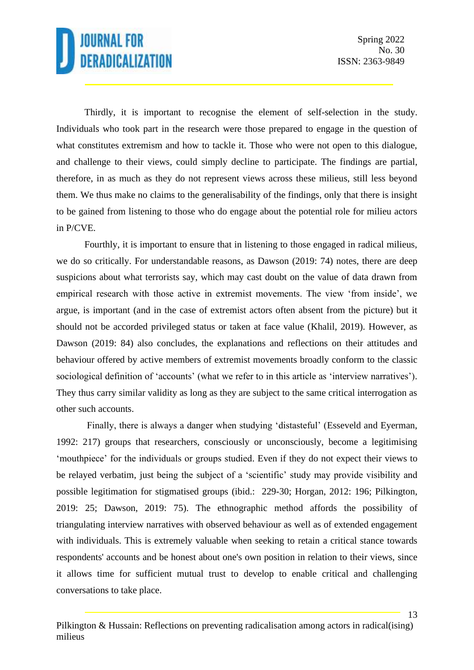13

Thirdly, it is important to recognise the element of self-selection in the study. Individuals who took part in the research were those prepared to engage in the question of what constitutes extremism and how to tackle it. Those who were not open to this dialogue, and challenge to their views, could simply decline to participate. The findings are partial, therefore, in as much as they do not represent views across these milieus, still less beyond them. We thus make no claims to the generalisability of the findings, only that there is insight to be gained from listening to those who do engage about the potential role for milieu actors in P/CVE.

Fourthly, it is important to ensure that in listening to those engaged in radical milieus, we do so critically. For understandable reasons, as Dawson (2019: 74) notes, there are deep suspicions about what terrorists say, which may cast doubt on the value of data drawn from empirical research with those active in extremist movements. The view 'from inside', we argue, is important (and in the case of extremist actors often absent from the picture) but it should not be accorded privileged status or taken at face value (Khalil, 2019). However, as Dawson (2019: 84) also concludes, the explanations and reflections on their attitudes and behaviour offered by active members of extremist movements broadly conform to the classic sociological definition of 'accounts' (what we refer to in this article as 'interview narratives'). They thus carry similar validity as long as they are subject to the same critical interrogation as other such accounts.

Finally, there is always a danger when studying 'distasteful' (Esseveld and Eyerman, 1992: 217) groups that researchers, consciously or unconsciously, become a legitimising 'mouthpiece' for the individuals or groups studied. Even if they do not expect their views to be relayed verbatim, just being the subject of a 'scientific' study may provide visibility and possible legitimation for stigmatised groups (ibid.: 229-30; Horgan, 2012: 196; Pilkington, 2019: 25; Dawson, 2019: 75). The ethnographic method affords the possibility of triangulating interview narratives with observed behaviour as well as of extended engagement with individuals. This is extremely valuable when seeking to retain a critical stance towards respondents' accounts and be honest about one's own position in relation to their views, since it allows time for sufficient mutual trust to develop to enable critical and challenging conversations to take place.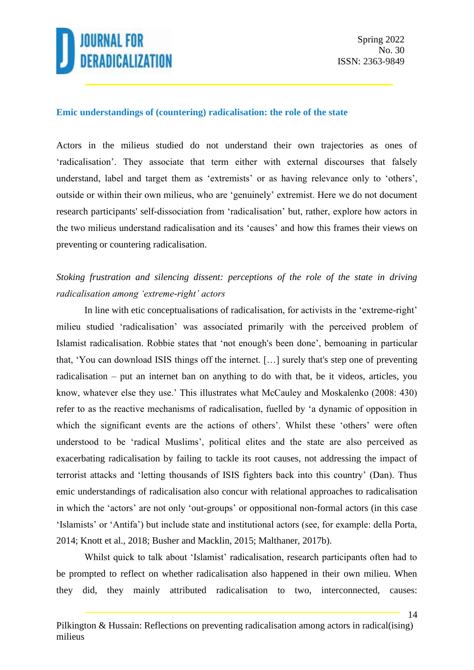

#### **Emic understandings of (countering) radicalisation: the role of the state**

Actors in the milieus studied do not understand their own trajectories as ones of 'radicalisation'. They associate that term either with external discourses that falsely understand, label and target them as 'extremists' or as having relevance only to 'others', outside or within their own milieus, who are 'genuinely' extremist. Here we do not document research participants' self-dissociation from 'radicalisation' but, rather, explore how actors in the two milieus understand radicalisation and its 'causes' and how this frames their views on preventing or countering radicalisation.

### *Stoking frustration and silencing dissent: perceptions of the role of the state in driving radicalisation among 'extreme-right' actors*

In line with etic conceptualisations of radicalisation, for activists in the 'extreme-right' milieu studied 'radicalisation' was associated primarily with the perceived problem of Islamist radicalisation. Robbie states that 'not enough's been done', bemoaning in particular that, 'You can download ISIS things off the internet. […] surely that's step one of preventing radicalisation – put an internet ban on anything to do with that, be it videos, articles, you know, whatever else they use.' This illustrates what McCauley and Moskalenko (2008: 430) refer to as the reactive mechanisms of radicalisation, fuelled by 'a dynamic of opposition in which the significant events are the actions of others'. Whilst these 'others' were often understood to be 'radical Muslims', political elites and the state are also perceived as exacerbating radicalisation by failing to tackle its root causes, not addressing the impact of terrorist attacks and 'letting thousands of ISIS fighters back into this country' (Dan). Thus emic understandings of radicalisation also concur with relational approaches to radicalisation in which the 'actors' are not only 'out-groups' or oppositional non-formal actors (in this case 'Islamists' or 'Antifa') but include state and institutional actors (see, for example: della Porta, 2014; Knott et al., 2018; Busher and Macklin, 2015; Malthaner, 2017b).

Whilst quick to talk about 'Islamist' radicalisation, research participants often had to be prompted to reflect on whether radicalisation also happened in their own milieu. When they did, they mainly attributed radicalisation to two, interconnected, causes: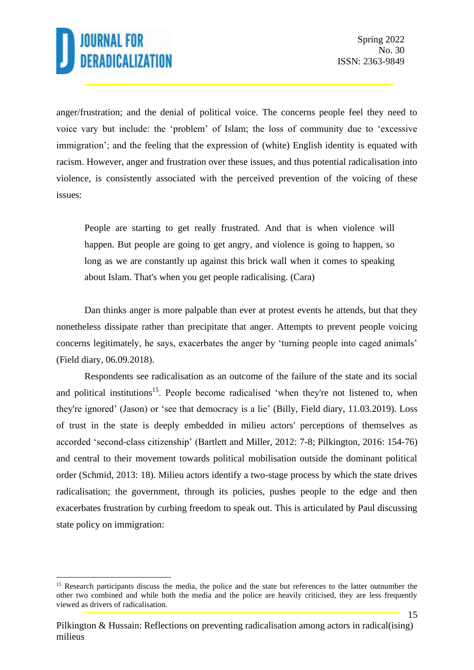15

anger/frustration; and the denial of political voice. The concerns people feel they need to voice vary but include: the 'problem' of Islam; the loss of community due to 'excessive immigration'; and the feeling that the expression of (white) English identity is equated with racism. However, anger and frustration over these issues, and thus potential radicalisation into violence, is consistently associated with the perceived prevention of the voicing of these issues:

People are starting to get really frustrated. And that is when violence will happen. But people are going to get angry, and violence is going to happen, so long as we are constantly up against this brick wall when it comes to speaking about Islam. That's when you get people radicalising. (Cara)

Dan thinks anger is more palpable than ever at protest events he attends, but that they nonetheless dissipate rather than precipitate that anger. Attempts to prevent people voicing concerns legitimately, he says, exacerbates the anger by 'turning people into caged animals' (Field diary, 06.09.2018).

Respondents see radicalisation as an outcome of the failure of the state and its social and political institutions<sup>15</sup>. People become radicalised 'when they're not listened to, when they're ignored' (Jason) or 'see that democracy is a lie' (Billy, Field diary, 11.03.2019). Loss of trust in the state is deeply embedded in milieu actors' perceptions of themselves as accorded 'second-class citizenship' (Bartlett and Miller, 2012: 7-8; Pilkington, 2016: 154-76) and central to their movement towards political mobilisation outside the dominant political order (Schmid, 2013: 18). Milieu actors identify a two-stage process by which the state drives radicalisation; the government, through its policies, pushes people to the edge and then exacerbates frustration by curbing freedom to speak out. This is articulated by Paul discussing state policy on immigration:

<sup>&</sup>lt;sup>15</sup> Research participants discuss the media, the police and the state but references to the latter outnumber the other two combined and while both the media and the police are heavily criticised, they are less frequently viewed as drivers of radicalisation.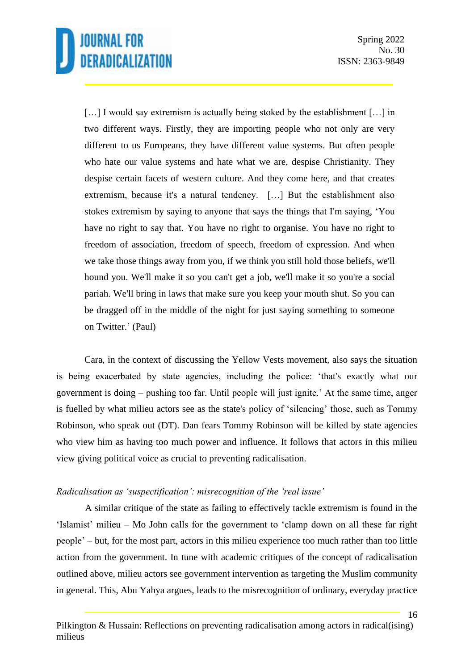[...] I would say extremism is actually being stoked by the establishment [...] in two different ways. Firstly, they are importing people who not only are very different to us Europeans, they have different value systems. But often people who hate our value systems and hate what we are, despise Christianity. They despise certain facets of western culture. And they come here, and that creates extremism, because it's a natural tendency. […] But the establishment also stokes extremism by saying to anyone that says the things that I'm saying, 'You have no right to say that. You have no right to organise. You have no right to freedom of association, freedom of speech, freedom of expression. And when we take those things away from you, if we think you still hold those beliefs, we'll hound you. We'll make it so you can't get a job, we'll make it so you're a social pariah. We'll bring in laws that make sure you keep your mouth shut. So you can be dragged off in the middle of the night for just saying something to someone on Twitter.' (Paul)

Cara, in the context of discussing the Yellow Vests movement, also says the situation is being exacerbated by state agencies, including the police: 'that's exactly what our government is doing – pushing too far. Until people will just ignite.' At the same time, anger is fuelled by what milieu actors see as the state's policy of 'silencing' those, such as Tommy Robinson, who speak out (DT). Dan fears Tommy Robinson will be killed by state agencies who view him as having too much power and influence. It follows that actors in this milieu view giving political voice as crucial to preventing radicalisation.

### *Radicalisation as 'suspectification': misrecognition of the 'real issue'*

A similar critique of the state as failing to effectively tackle extremism is found in the 'Islamist' milieu – Mo John calls for the government to 'clamp down on all these far right people' – but, for the most part, actors in this milieu experience too much rather than too little action from the government. In tune with academic critiques of the concept of radicalisation outlined above, milieu actors see government intervention as targeting the Muslim community in general. This, Abu Yahya argues, leads to the misrecognition of ordinary, everyday practice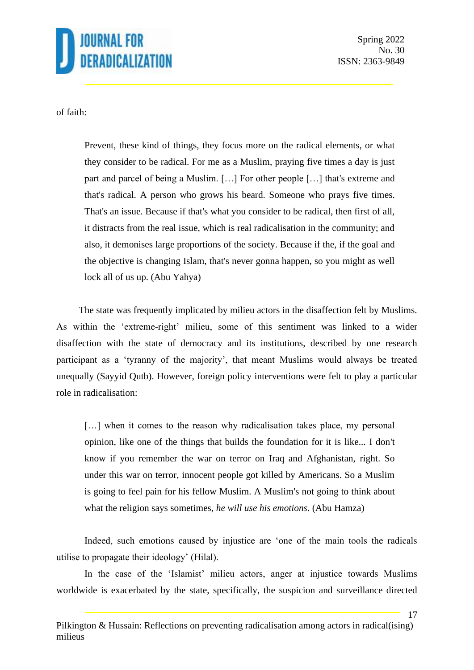

Spring 2022 No. 30 ISSN: 2363-9849

17

of faith:

Prevent, these kind of things, they focus more on the radical elements, or what they consider to be radical. For me as a Muslim, praying five times a day is just part and parcel of being a Muslim. […] For other people […] that's extreme and that's radical. A person who grows his beard. Someone who prays five times. That's an issue. Because if that's what you consider to be radical, then first of all, it distracts from the real issue, which is real radicalisation in the community; and also, it demonises large proportions of the society. Because if the, if the goal and the objective is changing Islam, that's never gonna happen, so you might as well lock all of us up. (Abu Yahya)

The state was frequently implicated by milieu actors in the disaffection felt by Muslims. As within the 'extreme-right' milieu, some of this sentiment was linked to a wider disaffection with the state of democracy and its institutions, described by one research participant as a 'tyranny of the majority', that meant Muslims would always be treated unequally (Sayyid Qutb). However, foreign policy interventions were felt to play a particular role in radicalisation:

[...] when it comes to the reason why radicalisation takes place, my personal opinion, like one of the things that builds the foundation for it is like... I don't know if you remember the war on terror on Iraq and Afghanistan, right. So under this war on terror, innocent people got killed by Americans. So a Muslim is going to feel pain for his fellow Muslim. A Muslim's not going to think about what the religion says sometimes, *he will use his emotions*. (Abu Hamza)

Indeed, such emotions caused by injustice are 'one of the main tools the radicals utilise to propagate their ideology' (Hilal).

In the case of the 'Islamist' milieu actors, anger at injustice towards Muslims worldwide is exacerbated by the state, specifically, the suspicion and surveillance directed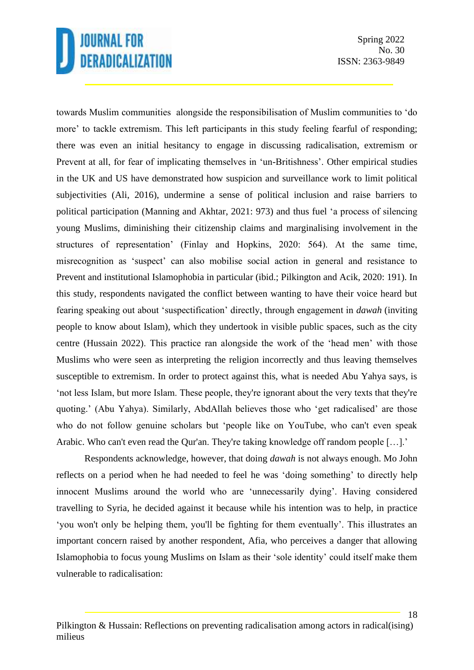Spring 2022 No. 30 ISSN: 2363-9849

towards Muslim communities alongside the responsibilisation of Muslim communities to 'do more' to tackle extremism. This left participants in this study feeling fearful of responding; there was even an initial hesitancy to engage in discussing radicalisation, extremism or Prevent at all, for fear of implicating themselves in 'un-Britishness'. Other empirical studies in the UK and US have demonstrated how suspicion and surveillance work to limit political subjectivities (Ali, 2016), undermine a sense of political inclusion and raise barriers to political participation (Manning and Akhtar, 2021: 973) and thus fuel 'a process of silencing young Muslims, diminishing their citizenship claims and marginalising involvement in the structures of representation' (Finlay and Hopkins, 2020: 564). At the same time, misrecognition as 'suspect' can also mobilise social action in general and resistance to Prevent and institutional Islamophobia in particular (ibid.; Pilkington and Acik, 2020: 191). In this study, respondents navigated the conflict between wanting to have their voice heard but fearing speaking out about 'suspectification' directly, through engagement in *dawah* (inviting people to know about Islam), which they undertook in visible public spaces, such as the city centre (Hussain 2022). This practice ran alongside the work of the 'head men' with those Muslims who were seen as interpreting the religion incorrectly and thus leaving themselves susceptible to extremism. In order to protect against this, what is needed Abu Yahya says, is 'not less Islam, but more Islam. These people, they're ignorant about the very texts that they're quoting.' (Abu Yahya). Similarly, AbdAllah believes those who 'get radicalised' are those who do not follow genuine scholars but 'people like on YouTube, who can't even speak Arabic. Who can't even read the Qur'an. They're taking knowledge off random people […].'

Respondents acknowledge, however, that doing *dawah* is not always enough. Mo John reflects on a period when he had needed to feel he was 'doing something' to directly help innocent Muslims around the world who are 'unnecessarily dying'. Having considered travelling to Syria, he decided against it because while his intention was to help, in practice 'you won't only be helping them, you'll be fighting for them eventually'. This illustrates an important concern raised by another respondent, Afia, who perceives a danger that allowing Islamophobia to focus young Muslims on Islam as their 'sole identity' could itself make them vulnerable to radicalisation: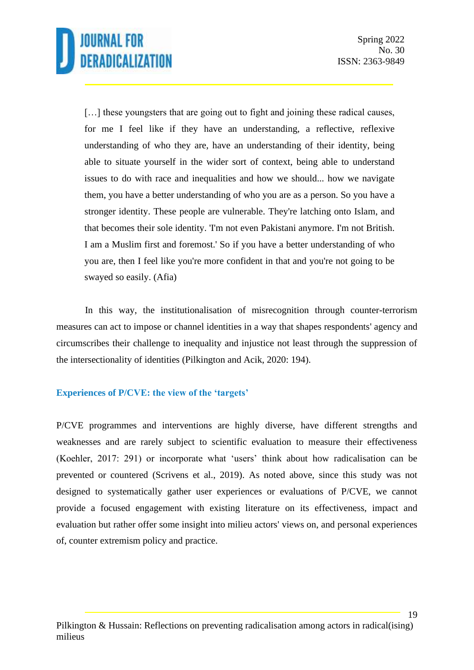[...] these youngsters that are going out to fight and joining these radical causes, for me I feel like if they have an understanding, a reflective, reflexive understanding of who they are, have an understanding of their identity, being able to situate yourself in the wider sort of context, being able to understand issues to do with race and inequalities and how we should... how we navigate them, you have a better understanding of who you are as a person. So you have a stronger identity. These people are vulnerable. They're latching onto Islam, and that becomes their sole identity. 'I'm not even Pakistani anymore. I'm not British. I am a Muslim first and foremost.' So if you have a better understanding of who you are, then I feel like you're more confident in that and you're not going to be swayed so easily. (Afia)

In this way, the institutionalisation of misrecognition through counter-terrorism measures can act to impose or channel identities in a way that shapes respondents' agency and circumscribes their challenge to inequality and injustice not least through the suppression of the intersectionality of identities (Pilkington and Acik, 2020: 194).

### **Experiences of P/CVE: the view of the 'targets'**

P/CVE programmes and interventions are highly diverse, have different strengths and weaknesses and are rarely subject to scientific evaluation to measure their effectiveness (Koehler, 2017: 291) or incorporate what 'users' think about how radicalisation can be prevented or countered (Scrivens et al., 2019). As noted above, since this study was not designed to systematically gather user experiences or evaluations of P/CVE, we cannot provide a focused engagement with existing literature on its effectiveness, impact and evaluation but rather offer some insight into milieu actors' views on, and personal experiences of, counter extremism policy and practice.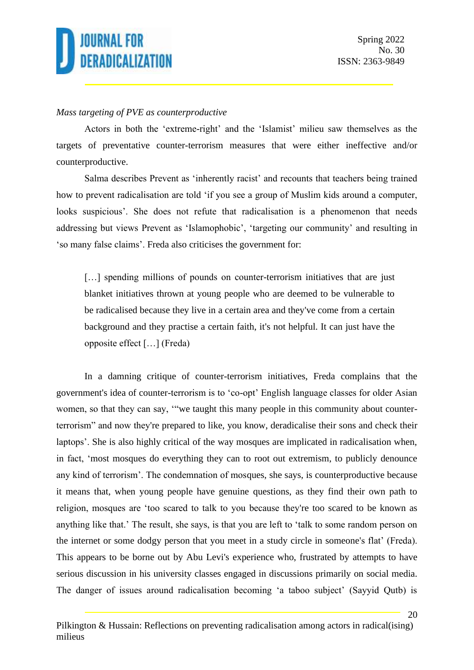

#### *Mass targeting of PVE as counterproductive*

Actors in both the 'extreme-right' and the 'Islamist' milieu saw themselves as the targets of preventative counter-terrorism measures that were either ineffective and/or counterproductive.

Salma describes Prevent as 'inherently racist' and recounts that teachers being trained how to prevent radicalisation are told 'if you see a group of Muslim kids around a computer, looks suspicious'. She does not refute that radicalisation is a phenomenon that needs addressing but views Prevent as 'Islamophobic', 'targeting our community' and resulting in 'so many false claims'. Freda also criticises the government for:

[...] spending millions of pounds on counter-terrorism initiatives that are just blanket initiatives thrown at young people who are deemed to be vulnerable to be radicalised because they live in a certain area and they've come from a certain background and they practise a certain faith, it's not helpful. It can just have the opposite effect […] (Freda)

In a damning critique of counter-terrorism initiatives, Freda complains that the government's idea of counter-terrorism is to 'co-opt' English language classes for older Asian women, so that they can say, '"we taught this many people in this community about counterterrorism" and now they're prepared to like, you know, deradicalise their sons and check their laptops'. She is also highly critical of the way mosques are implicated in radicalisation when, in fact, 'most mosques do everything they can to root out extremism, to publicly denounce any kind of terrorism'. The condemnation of mosques, she says, is counterproductive because it means that, when young people have genuine questions, as they find their own path to religion, mosques are 'too scared to talk to you because they're too scared to be known as anything like that.' The result, she says, is that you are left to 'talk to some random person on the internet or some dodgy person that you meet in a study circle in someone's flat' (Freda). This appears to be borne out by Abu Levi's experience who, frustrated by attempts to have serious discussion in his university classes engaged in discussions primarily on social media. The danger of issues around radicalisation becoming 'a taboo subject' (Sayyid Qutb) is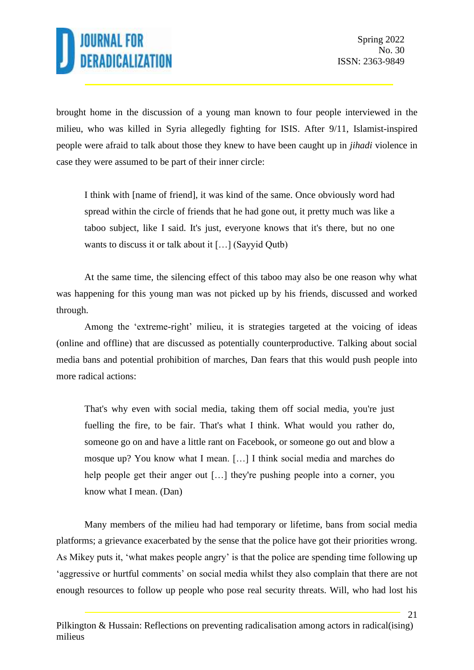21

brought home in the discussion of a young man known to four people interviewed in the milieu, who was killed in Syria allegedly fighting for ISIS. After 9/11, Islamist-inspired people were afraid to talk about those they knew to have been caught up in *jihadi* violence in case they were assumed to be part of their inner circle:

I think with [name of friend], it was kind of the same. Once obviously word had spread within the circle of friends that he had gone out, it pretty much was like a taboo subject, like I said. It's just, everyone knows that it's there, but no one wants to discuss it or talk about it […] (Sayyid Qutb)

At the same time, the silencing effect of this taboo may also be one reason why what was happening for this young man was not picked up by his friends, discussed and worked through.

Among the 'extreme-right' milieu, it is strategies targeted at the voicing of ideas (online and offline) that are discussed as potentially counterproductive. Talking about social media bans and potential prohibition of marches, Dan fears that this would push people into more radical actions:

That's why even with social media, taking them off social media, you're just fuelling the fire, to be fair. That's what I think. What would you rather do, someone go on and have a little rant on Facebook, or someone go out and blow a mosque up? You know what I mean. […] I think social media and marches do help people get their anger out […] they're pushing people into a corner, you know what I mean. (Dan)

Many members of the milieu had had temporary or lifetime, bans from social media platforms; a grievance exacerbated by the sense that the police have got their priorities wrong. As Mikey puts it, 'what makes people angry' is that the police are spending time following up 'aggressive or hurtful comments' on social media whilst they also complain that there are not enough resources to follow up people who pose real security threats. Will, who had lost his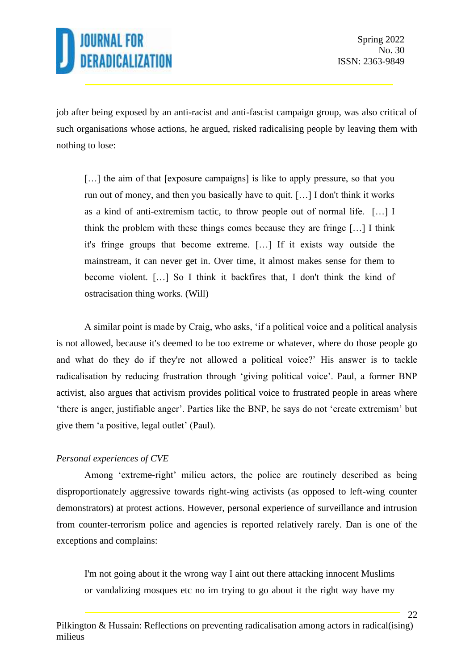22

job after being exposed by an anti-racist and anti-fascist campaign group, was also critical of such organisations whose actions, he argued, risked radicalising people by leaving them with nothing to lose:

[...] the aim of that [exposure campaigns] is like to apply pressure, so that you run out of money, and then you basically have to quit. […] I don't think it works as a kind of anti-extremism tactic, to throw people out of normal life. […] I think the problem with these things comes because they are fringe […] I think it's fringe groups that become extreme. […] If it exists way outside the mainstream, it can never get in. Over time, it almost makes sense for them to become violent. […] So I think it backfires that, I don't think the kind of ostracisation thing works. (Will)

A similar point is made by Craig, who asks, 'if a political voice and a political analysis is not allowed, because it's deemed to be too extreme or whatever, where do those people go and what do they do if they're not allowed a political voice?' His answer is to tackle radicalisation by reducing frustration through 'giving political voice'. Paul, a former BNP activist, also argues that activism provides political voice to frustrated people in areas where 'there is anger, justifiable anger'. Parties like the BNP, he says do not 'create extremism' but give them 'a positive, legal outlet' (Paul).

### *Personal experiences of CVE*

Among 'extreme-right' milieu actors, the police are routinely described as being disproportionately aggressive towards right-wing activists (as opposed to left-wing counter demonstrators) at protest actions. However, personal experience of surveillance and intrusion from counter-terrorism police and agencies is reported relatively rarely. Dan is one of the exceptions and complains:

I'm not going about it the wrong way I aint out there attacking innocent Muslims or vandalizing mosques etc no im trying to go about it the right way have my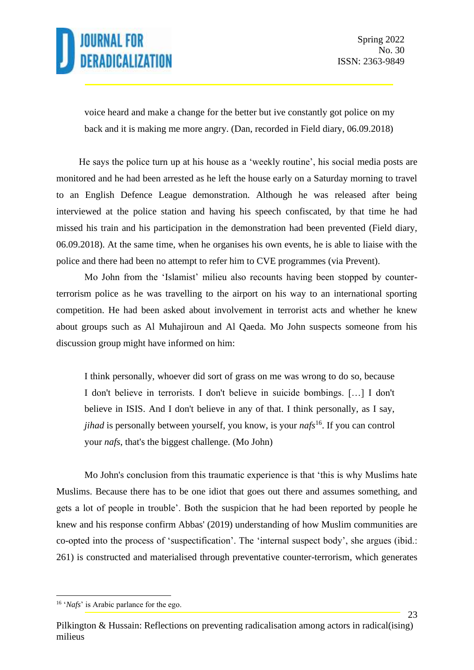23

voice heard and make a change for the better but ive constantly got police on my back and it is making me more angry. (Dan, recorded in Field diary, 06.09.2018)

He says the police turn up at his house as a 'weekly routine', his social media posts are monitored and he had been arrested as he left the house early on a Saturday morning to travel to an English Defence League demonstration. Although he was released after being interviewed at the police station and having his speech confiscated, by that time he had missed his train and his participation in the demonstration had been prevented (Field diary, 06.09.2018). At the same time, when he organises his own events, he is able to liaise with the police and there had been no attempt to refer him to CVE programmes (via Prevent).

Mo John from the 'Islamist' milieu also recounts having been stopped by counterterrorism police as he was travelling to the airport on his way to an international sporting competition. He had been asked about involvement in terrorist acts and whether he knew about groups such as Al Muhajiroun and Al Qaeda. Mo John suspects someone from his discussion group might have informed on him:

I think personally, whoever did sort of grass on me was wrong to do so, because I don't believe in terrorists. I don't believe in suicide bombings. […] I don't believe in ISIS. And I don't believe in any of that. I think personally, as I say, *jihad* is personally between yourself, you know, is your *nafs*<sup>16</sup>. If you can control your *nafs*, that's the biggest challenge. (Mo John)

Mo John's conclusion from this traumatic experience is that 'this is why Muslims hate Muslims. Because there has to be one idiot that goes out there and assumes something, and gets a lot of people in trouble'. Both the suspicion that he had been reported by people he knew and his response confirm Abbas' (2019) understanding of how Muslim communities are co-opted into the process of 'suspectification'. The 'internal suspect body', she argues (ibid.: 261) is constructed and materialised through preventative counter-terrorism, which generates

<sup>&</sup>lt;sup>16</sup> '*Nafs*' is Arabic parlance for the ego.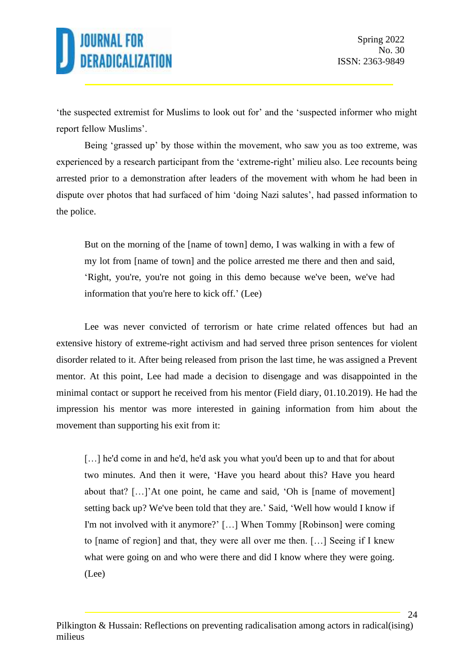'the suspected extremist for Muslims to look out for' and the 'suspected informer who might report fellow Muslims'.

Being 'grassed up' by those within the movement, who saw you as too extreme, was experienced by a research participant from the 'extreme-right' milieu also. Lee recounts being arrested prior to a demonstration after leaders of the movement with whom he had been in dispute over photos that had surfaced of him 'doing Nazi salutes', had passed information to the police.

But on the morning of the [name of town] demo, I was walking in with a few of my lot from [name of town] and the police arrested me there and then and said, 'Right, you're, you're not going in this demo because we've been, we've had information that you're here to kick off.' (Lee)

Lee was never convicted of terrorism or hate crime related offences but had an extensive history of extreme-right activism and had served three prison sentences for violent disorder related to it. After being released from prison the last time, he was assigned a Prevent mentor. At this point, Lee had made a decision to disengage and was disappointed in the minimal contact or support he received from his mentor (Field diary, 01.10.2019). He had the impression his mentor was more interested in gaining information from him about the movement than supporting his exit from it:

[...] he'd come in and he'd, he'd ask you what you'd been up to and that for about two minutes. And then it were, 'Have you heard about this? Have you heard about that? […]'At one point, he came and said, 'Oh is [name of movement] setting back up? We've been told that they are.' Said, 'Well how would I know if I'm not involved with it anymore?' […] When Tommy [Robinson] were coming to [name of region] and that, they were all over me then. […] Seeing if I knew what were going on and who were there and did I know where they were going. (Lee)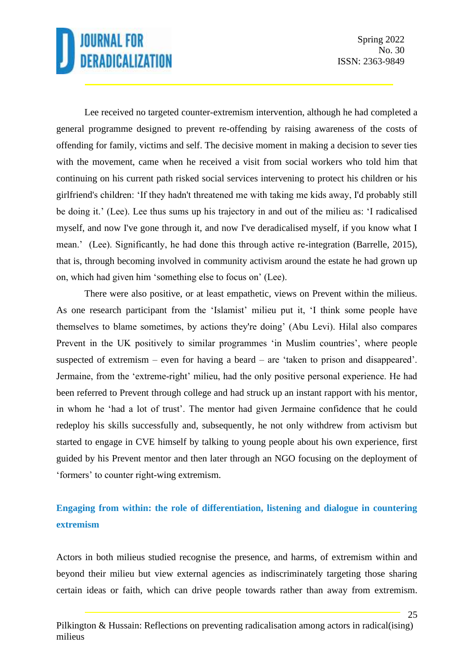25

Lee received no targeted counter-extremism intervention, although he had completed a general programme designed to prevent re-offending by raising awareness of the costs of offending for family, victims and self. The decisive moment in making a decision to sever ties with the movement, came when he received a visit from social workers who told him that continuing on his current path risked social services intervening to protect his children or his girlfriend's children: 'If they hadn't threatened me with taking me kids away, I'd probably still be doing it.' (Lee). Lee thus sums up his trajectory in and out of the milieu as: 'I radicalised myself, and now I've gone through it, and now I've deradicalised myself, if you know what I mean.' (Lee). Significantly, he had done this through active re-integration (Barrelle, 2015), that is, through becoming involved in community activism around the estate he had grown up on, which had given him 'something else to focus on' (Lee).

There were also positive, or at least empathetic, views on Prevent within the milieus. As one research participant from the 'Islamist' milieu put it, 'I think some people have themselves to blame sometimes, by actions they're doing' (Abu Levi). Hilal also compares Prevent in the UK positively to similar programmes 'in Muslim countries', where people suspected of extremism – even for having a beard – are 'taken to prison and disappeared'. Jermaine, from the 'extreme-right' milieu, had the only positive personal experience. He had been referred to Prevent through college and had struck up an instant rapport with his mentor, in whom he 'had a lot of trust'. The mentor had given Jermaine confidence that he could redeploy his skills successfully and, subsequently, he not only withdrew from activism but started to engage in CVE himself by talking to young people about his own experience, first guided by his Prevent mentor and then later through an NGO focusing on the deployment of 'formers' to counter right-wing extremism.

### **Engaging from within: the role of differentiation, listening and dialogue in countering extremism**

Actors in both milieus studied recognise the presence, and harms, of extremism within and beyond their milieu but view external agencies as indiscriminately targeting those sharing certain ideas or faith, which can drive people towards rather than away from extremism.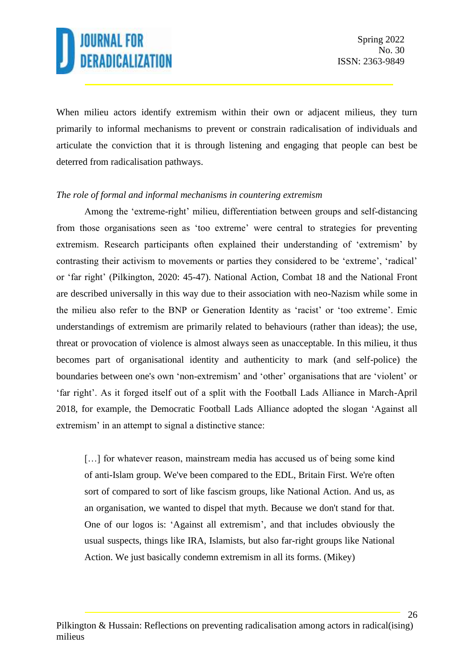When milieu actors identify extremism within their own or adjacent milieus, they turn primarily to informal mechanisms to prevent or constrain radicalisation of individuals and articulate the conviction that it is through listening and engaging that people can best be deterred from radicalisation pathways.

#### *The role of formal and informal mechanisms in countering extremism*

Among the 'extreme-right' milieu, differentiation between groups and self-distancing from those organisations seen as 'too extreme' were central to strategies for preventing extremism. Research participants often explained their understanding of 'extremism' by contrasting their activism to movements or parties they considered to be 'extreme', 'radical' or 'far right' (Pilkington, 2020: 45-47). National Action, Combat 18 and the National Front are described universally in this way due to their association with neo-Nazism while some in the milieu also refer to the BNP or Generation Identity as 'racist' or 'too extreme'. Emic understandings of extremism are primarily related to behaviours (rather than ideas); the use, threat or provocation of violence is almost always seen as unacceptable. In this milieu, it thus becomes part of organisational identity and authenticity to mark (and self-police) the boundaries between one's own 'non-extremism' and 'other' organisations that are 'violent' or 'far right'. As it forged itself out of a split with the Football Lads Alliance in March-April 2018, for example, the Democratic Football Lads Alliance adopted the slogan 'Against all extremism' in an attempt to signal a distinctive stance:

[...] for whatever reason, mainstream media has accused us of being some kind of anti-Islam group. We've been compared to the EDL, Britain First. We're often sort of compared to sort of like fascism groups, like National Action. And us, as an organisation, we wanted to dispel that myth. Because we don't stand for that. One of our logos is: 'Against all extremism', and that includes obviously the usual suspects, things like IRA, Islamists, but also far-right groups like National Action. We just basically condemn extremism in all its forms. (Mikey)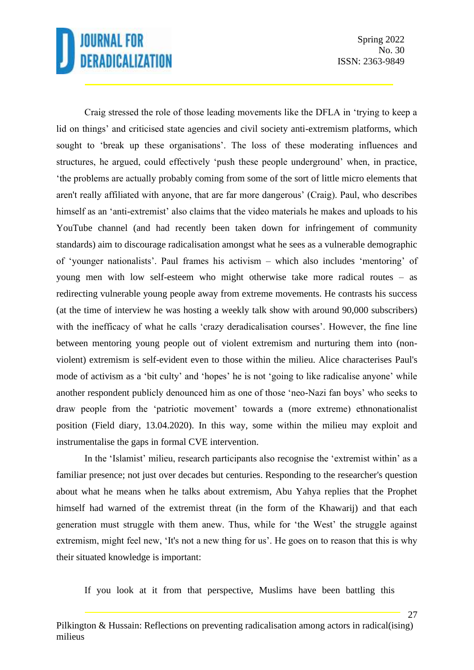Spring 2022 No. 30 ISSN: 2363-9849

27

Craig stressed the role of those leading movements like the DFLA in 'trying to keep a lid on things' and criticised state agencies and civil society anti-extremism platforms, which sought to 'break up these organisations'. The loss of these moderating influences and structures, he argued, could effectively 'push these people underground' when, in practice, 'the problems are actually probably coming from some of the sort of little micro elements that aren't really affiliated with anyone, that are far more dangerous' (Craig). Paul, who describes himself as an 'anti-extremist' also claims that the video materials he makes and uploads to his YouTube channel (and had recently been taken down for infringement of community standards) aim to discourage radicalisation amongst what he sees as a vulnerable demographic of 'younger nationalists'. Paul frames his activism – which also includes 'mentoring' of young men with low self-esteem who might otherwise take more radical routes – as redirecting vulnerable young people away from extreme movements. He contrasts his success (at the time of interview he was hosting a weekly talk show with around 90,000 subscribers) with the inefficacy of what he calls 'crazy deradicalisation courses'. However, the fine line between mentoring young people out of violent extremism and nurturing them into (nonviolent) extremism is self-evident even to those within the milieu. Alice characterises Paul's mode of activism as a 'bit culty' and 'hopes' he is not 'going to like radicalise anyone' while another respondent publicly denounced him as one of those 'neo-Nazi fan boys' who seeks to draw people from the 'patriotic movement' towards a (more extreme) ethnonationalist position (Field diary, 13.04.2020). In this way, some within the milieu may exploit and instrumentalise the gaps in formal CVE intervention.

In the 'Islamist' milieu, research participants also recognise the 'extremist within' as a familiar presence; not just over decades but centuries. Responding to the researcher's question about what he means when he talks about extremism, Abu Yahya replies that the Prophet himself had warned of the extremist threat (in the form of the Khawarij) and that each generation must struggle with them anew. Thus, while for 'the West' the struggle against extremism, might feel new, 'It's not a new thing for us'. He goes on to reason that this is why their situated knowledge is important:

If you look at it from that perspective, Muslims have been battling this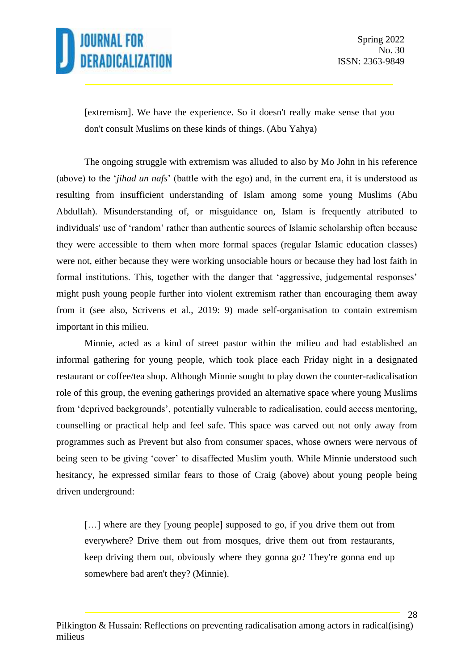28

[extremism]. We have the experience. So it doesn't really make sense that you don't consult Muslims on these kinds of things. (Abu Yahya)

The ongoing struggle with extremism was alluded to also by Mo John in his reference (above) to the '*jihad un nafs*' (battle with the ego) and, in the current era, it is understood as resulting from insufficient understanding of Islam among some young Muslims (Abu Abdullah). Misunderstanding of, or misguidance on, Islam is frequently attributed to individuals' use of 'random' rather than authentic sources of Islamic scholarship often because they were accessible to them when more formal spaces (regular Islamic education classes) were not, either because they were working unsociable hours or because they had lost faith in formal institutions. This, together with the danger that 'aggressive, judgemental responses' might push young people further into violent extremism rather than encouraging them away from it (see also, Scrivens et al., 2019: 9) made self-organisation to contain extremism important in this milieu.

Minnie, acted as a kind of street pastor within the milieu and had established an informal gathering for young people, which took place each Friday night in a designated restaurant or coffee/tea shop. Although Minnie sought to play down the counter-radicalisation role of this group, the evening gatherings provided an alternative space where young Muslims from 'deprived backgrounds', potentially vulnerable to radicalisation, could access mentoring, counselling or practical help and feel safe. This space was carved out not only away from programmes such as Prevent but also from consumer spaces, whose owners were nervous of being seen to be giving 'cover' to disaffected Muslim youth. While Minnie understood such hesitancy, he expressed similar fears to those of Craig (above) about young people being driven underground:

[...] where are they [young people] supposed to go, if you drive them out from everywhere? Drive them out from mosques, drive them out from restaurants, keep driving them out, obviously where they gonna go? They're gonna end up somewhere bad aren't they? (Minnie).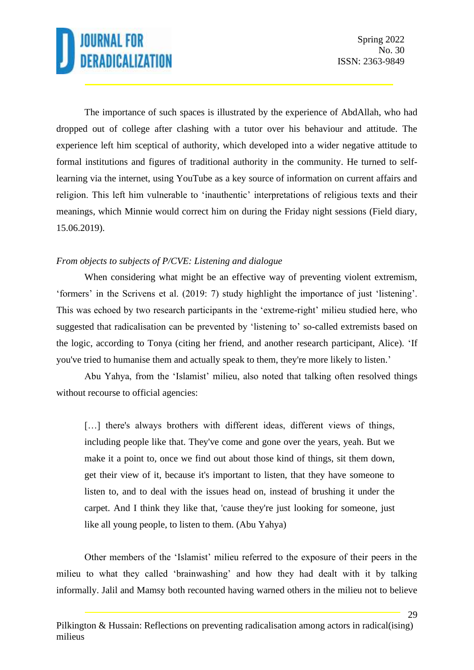29

The importance of such spaces is illustrated by the experience of AbdAllah, who had dropped out of college after clashing with a tutor over his behaviour and attitude. The experience left him sceptical of authority, which developed into a wider negative attitude to formal institutions and figures of traditional authority in the community. He turned to selflearning via the internet, using YouTube as a key source of information on current affairs and religion. This left him vulnerable to 'inauthentic' interpretations of religious texts and their meanings, which Minnie would correct him on during the Friday night sessions (Field diary, 15.06.2019).

### *From objects to subjects of P/CVE: Listening and dialogue*

When considering what might be an effective way of preventing violent extremism, 'formers' in the Scrivens et al. (2019: 7) study highlight the importance of just 'listening'. This was echoed by two research participants in the 'extreme-right' milieu studied here, who suggested that radicalisation can be prevented by 'listening to' so-called extremists based on the logic, according to Tonya (citing her friend, and another research participant, Alice). 'If you've tried to humanise them and actually speak to them, they're more likely to listen.'

Abu Yahya, from the 'Islamist' milieu, also noted that talking often resolved things without recourse to official agencies:

[...] there's always brothers with different ideas, different views of things, including people like that. They've come and gone over the years, yeah. But we make it a point to, once we find out about those kind of things, sit them down, get their view of it, because it's important to listen, that they have someone to listen to, and to deal with the issues head on, instead of brushing it under the carpet. And I think they like that, 'cause they're just looking for someone, just like all young people, to listen to them. (Abu Yahya)

Other members of the 'Islamist' milieu referred to the exposure of their peers in the milieu to what they called 'brainwashing' and how they had dealt with it by talking informally. Jalil and Mamsy both recounted having warned others in the milieu not to believe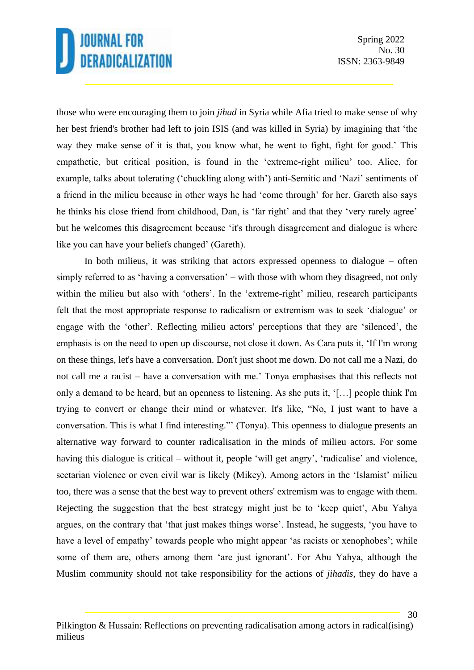those who were encouraging them to join *jihad* in Syria while Afia tried to make sense of why her best friend's brother had left to join ISIS (and was killed in Syria) by imagining that 'the way they make sense of it is that, you know what, he went to fight, fight for good.' This empathetic, but critical position, is found in the 'extreme-right milieu' too. Alice, for example, talks about tolerating ('chuckling along with') anti-Semitic and 'Nazi' sentiments of a friend in the milieu because in other ways he had 'come through' for her. Gareth also says he thinks his close friend from childhood, Dan, is 'far right' and that they 'very rarely agree' but he welcomes this disagreement because 'it's through disagreement and dialogue is where like you can have your beliefs changed' (Gareth).

In both milieus, it was striking that actors expressed openness to dialogue – often simply referred to as 'having a conversation' – with those with whom they disagreed, not only within the milieu but also with 'others'. In the 'extreme-right' milieu, research participants felt that the most appropriate response to radicalism or extremism was to seek 'dialogue' or engage with the 'other'. Reflecting milieu actors' perceptions that they are 'silenced', the emphasis is on the need to open up discourse, not close it down. As Cara puts it, 'If I'm wrong on these things, let's have a conversation. Don't just shoot me down. Do not call me a Nazi, do not call me a racist – have a conversation with me.' Tonya emphasises that this reflects not only a demand to be heard, but an openness to listening. As she puts it, '[…] people think I'm trying to convert or change their mind or whatever. It's like, "No, I just want to have a conversation. This is what I find interesting."' (Tonya). This openness to dialogue presents an alternative way forward to counter radicalisation in the minds of milieu actors. For some having this dialogue is critical – without it, people 'will get angry', 'radicalise' and violence, sectarian violence or even civil war is likely (Mikey). Among actors in the 'Islamist' milieu too, there was a sense that the best way to prevent others' extremism was to engage with them. Rejecting the suggestion that the best strategy might just be to 'keep quiet', Abu Yahya argues, on the contrary that 'that just makes things worse'. Instead, he suggests, 'you have to have a level of empathy' towards people who might appear 'as racists or xenophobes'; while some of them are, others among them 'are just ignorant'. For Abu Yahya, although the Muslim community should not take responsibility for the actions of *jihadis*, they do have a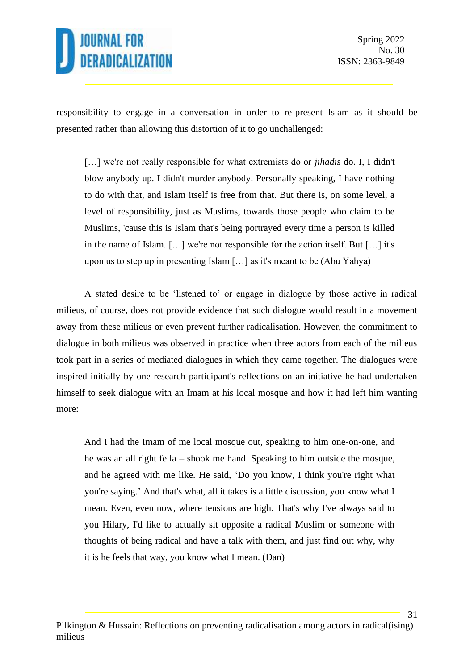

responsibility to engage in a conversation in order to re-present Islam as it should be presented rather than allowing this distortion of it to go unchallenged:

[…] we're not really responsible for what extremists do or *jihadis* do. I, I didn't blow anybody up. I didn't murder anybody. Personally speaking, I have nothing to do with that, and Islam itself is free from that. But there is, on some level, a level of responsibility, just as Muslims, towards those people who claim to be Muslims, 'cause this is Islam that's being portrayed every time a person is killed in the name of Islam. […] we're not responsible for the action itself. But […] it's upon us to step up in presenting Islam […] as it's meant to be (Abu Yahya)

A stated desire to be 'listened to' or engage in dialogue by those active in radical milieus, of course, does not provide evidence that such dialogue would result in a movement away from these milieus or even prevent further radicalisation. However, the commitment to dialogue in both milieus was observed in practice when three actors from each of the milieus took part in a series of mediated dialogues in which they came together. The dialogues were inspired initially by one research participant's reflections on an initiative he had undertaken himself to seek dialogue with an Imam at his local mosque and how it had left him wanting more:

And I had the Imam of me local mosque out, speaking to him one-on-one, and he was an all right fella – shook me hand. Speaking to him outside the mosque, and he agreed with me like. He said, 'Do you know, I think you're right what you're saying.' And that's what, all it takes is a little discussion, you know what I mean. Even, even now, where tensions are high. That's why I've always said to you Hilary, I'd like to actually sit opposite a radical Muslim or someone with thoughts of being radical and have a talk with them, and just find out why, why it is he feels that way, you know what I mean. (Dan)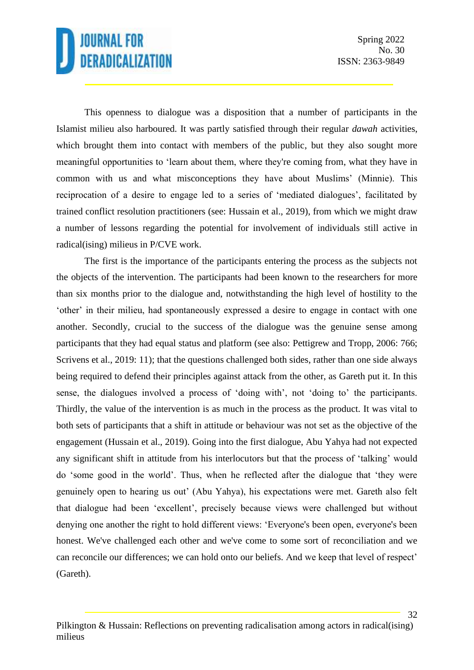32

This openness to dialogue was a disposition that a number of participants in the Islamist milieu also harboured. It was partly satisfied through their regular *dawah* activities, which brought them into contact with members of the public, but they also sought more meaningful opportunities to 'learn about them, where they're coming from, what they have in common with us and what misconceptions they have about Muslims' (Minnie). This reciprocation of a desire to engage led to a series of 'mediated dialogues', facilitated by trained conflict resolution practitioners (see: Hussain et al., 2019), from which we might draw a number of lessons regarding the potential for involvement of individuals still active in radical(ising) milieus in P/CVE work.

The first is the importance of the participants entering the process as the subjects not the objects of the intervention. The participants had been known to the researchers for more than six months prior to the dialogue and, notwithstanding the high level of hostility to the 'other' in their milieu, had spontaneously expressed a desire to engage in contact with one another. Secondly, crucial to the success of the dialogue was the genuine sense among participants that they had equal status and platform (see also: Pettigrew and Tropp, 2006: 766; Scrivens et al., 2019: 11); that the questions challenged both sides, rather than one side always being required to defend their principles against attack from the other, as Gareth put it. In this sense, the dialogues involved a process of 'doing with', not 'doing to' the participants. Thirdly, the value of the intervention is as much in the process as the product. It was vital to both sets of participants that a shift in attitude or behaviour was not set as the objective of the engagement (Hussain et al., 2019). Going into the first dialogue, Abu Yahya had not expected any significant shift in attitude from his interlocutors but that the process of 'talking' would do 'some good in the world'. Thus, when he reflected after the dialogue that 'they were genuinely open to hearing us out' (Abu Yahya), his expectations were met. Gareth also felt that dialogue had been 'excellent', precisely because views were challenged but without denying one another the right to hold different views: 'Everyone's been open, everyone's been honest. We've challenged each other and we've come to some sort of reconciliation and we can reconcile our differences; we can hold onto our beliefs. And we keep that level of respect' (Gareth).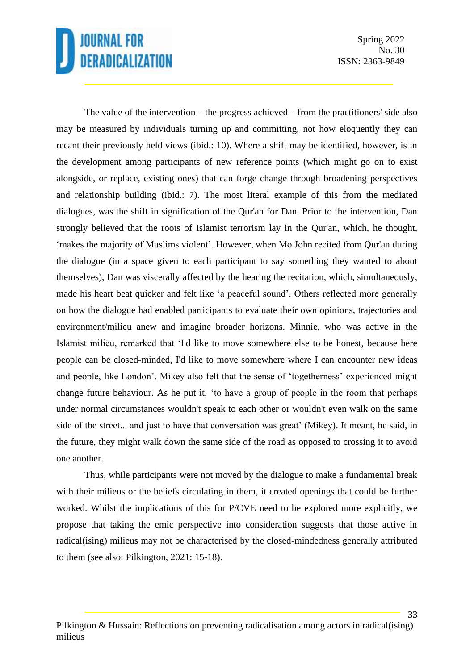Spring 2022 No. 30 ISSN: 2363-9849

The value of the intervention – the progress achieved – from the practitioners' side also may be measured by individuals turning up and committing, not how eloquently they can recant their previously held views (ibid.: 10). Where a shift may be identified, however, is in the development among participants of new reference points (which might go on to exist alongside, or replace, existing ones) that can forge change through broadening perspectives and relationship building (ibid.: 7). The most literal example of this from the mediated dialogues, was the shift in signification of the Qur'an for Dan. Prior to the intervention, Dan strongly believed that the roots of Islamist terrorism lay in the Qur'an, which, he thought, 'makes the majority of Muslims violent'. However, when Mo John recited from Qur'an during the dialogue (in a space given to each participant to say something they wanted to about themselves), Dan was viscerally affected by the hearing the recitation, which, simultaneously, made his heart beat quicker and felt like 'a peaceful sound'. Others reflected more generally on how the dialogue had enabled participants to evaluate their own opinions, trajectories and environment/milieu anew and imagine broader horizons. Minnie, who was active in the Islamist milieu, remarked that 'I'd like to move somewhere else to be honest, because here people can be closed-minded, I'd like to move somewhere where I can encounter new ideas and people, like London'. Mikey also felt that the sense of 'togetherness' experienced might change future behaviour. As he put it, 'to have a group of people in the room that perhaps under normal circumstances wouldn't speak to each other or wouldn't even walk on the same side of the street... and just to have that conversation was great' (Mikey). It meant, he said, in the future, they might walk down the same side of the road as opposed to crossing it to avoid one another.

Thus, while participants were not moved by the dialogue to make a fundamental break with their milieus or the beliefs circulating in them, it created openings that could be further worked. Whilst the implications of this for P/CVE need to be explored more explicitly, we propose that taking the emic perspective into consideration suggests that those active in radical(ising) milieus may not be characterised by the closed-mindedness generally attributed to them (see also: Pilkington, 2021: 15-18).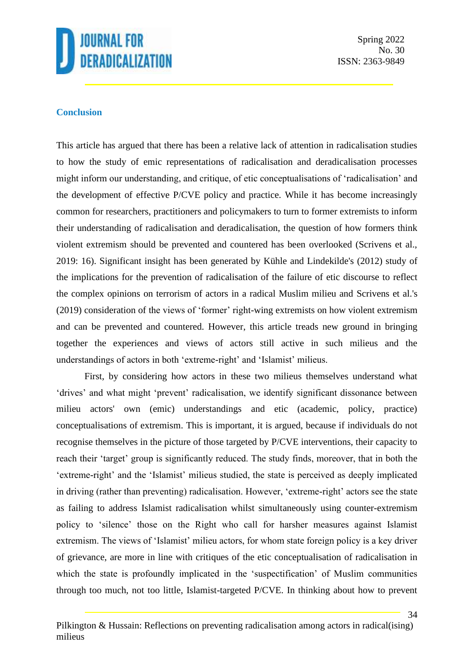

#### **Conclusion**

This article has argued that there has been a relative lack of attention in radicalisation studies to how the study of emic representations of radicalisation and deradicalisation processes might inform our understanding, and critique, of etic conceptualisations of 'radicalisation' and the development of effective P/CVE policy and practice. While it has become increasingly common for researchers, practitioners and policymakers to turn to former extremists to inform their understanding of radicalisation and deradicalisation, the question of how formers think violent extremism should be prevented and countered has been overlooked (Scrivens et al., 2019: 16). Significant insight has been generated by Kühle and Lindekilde's (2012) study of the implications for the prevention of radicalisation of the failure of etic discourse to reflect the complex opinions on terrorism of actors in a radical Muslim milieu and Scrivens et al.'s (2019) consideration of the views of 'former' right-wing extremists on how violent extremism and can be prevented and countered. However, this article treads new ground in bringing together the experiences and views of actors still active in such milieus and the understandings of actors in both 'extreme-right' and 'Islamist' milieus.

First, by considering how actors in these two milieus themselves understand what 'drives' and what might 'prevent' radicalisation, we identify significant dissonance between milieu actors' own (emic) understandings and etic (academic, policy, practice) conceptualisations of extremism. This is important, it is argued, because if individuals do not recognise themselves in the picture of those targeted by P/CVE interventions, their capacity to reach their 'target' group is significantly reduced. The study finds, moreover, that in both the 'extreme-right' and the 'Islamist' milieus studied, the state is perceived as deeply implicated in driving (rather than preventing) radicalisation. However, 'extreme-right' actors see the state as failing to address Islamist radicalisation whilst simultaneously using counter-extremism policy to 'silence' those on the Right who call for harsher measures against Islamist extremism. The views of 'Islamist' milieu actors, for whom state foreign policy is a key driver of grievance, are more in line with critiques of the etic conceptualisation of radicalisation in which the state is profoundly implicated in the 'suspectification' of Muslim communities through too much, not too little, Islamist-targeted P/CVE. In thinking about how to prevent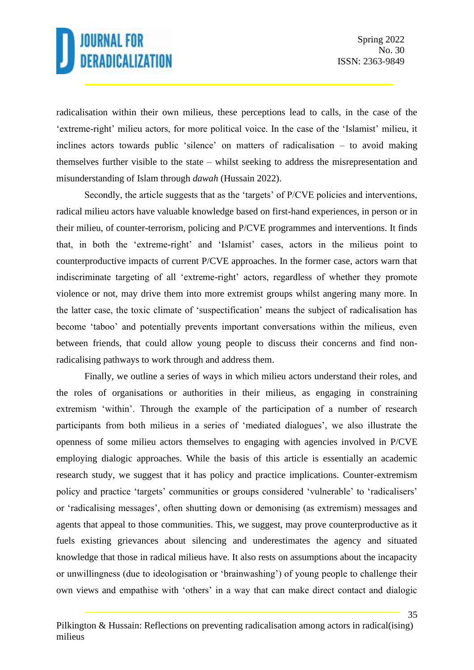35

radicalisation within their own milieus, these perceptions lead to calls, in the case of the 'extreme-right' milieu actors, for more political voice. In the case of the 'Islamist' milieu, it inclines actors towards public 'silence' on matters of radicalisation – to avoid making themselves further visible to the state – whilst seeking to address the misrepresentation and misunderstanding of Islam through *dawah* (Hussain 2022).

Secondly, the article suggests that as the 'targets' of P/CVE policies and interventions, radical milieu actors have valuable knowledge based on first-hand experiences, in person or in their milieu, of counter-terrorism, policing and P/CVE programmes and interventions. It finds that, in both the 'extreme-right' and 'Islamist' cases, actors in the milieus point to counterproductive impacts of current P/CVE approaches. In the former case, actors warn that indiscriminate targeting of all 'extreme-right' actors, regardless of whether they promote violence or not, may drive them into more extremist groups whilst angering many more. In the latter case, the toxic climate of 'suspectification' means the subject of radicalisation has become 'taboo' and potentially prevents important conversations within the milieus, even between friends, that could allow young people to discuss their concerns and find nonradicalising pathways to work through and address them.

Finally, we outline a series of ways in which milieu actors understand their roles, and the roles of organisations or authorities in their milieus, as engaging in constraining extremism 'within'. Through the example of the participation of a number of research participants from both milieus in a series of 'mediated dialogues', we also illustrate the openness of some milieu actors themselves to engaging with agencies involved in P/CVE employing dialogic approaches. While the basis of this article is essentially an academic research study, we suggest that it has policy and practice implications. Counter-extremism policy and practice 'targets' communities or groups considered 'vulnerable' to 'radicalisers' or 'radicalising messages', often shutting down or demonising (as extremism) messages and agents that appeal to those communities. This, we suggest, may prove counterproductive as it fuels existing grievances about silencing and underestimates the agency and situated knowledge that those in radical milieus have. It also rests on assumptions about the incapacity or unwillingness (due to ideologisation or 'brainwashing') of young people to challenge their own views and empathise with 'others' in a way that can make direct contact and dialogic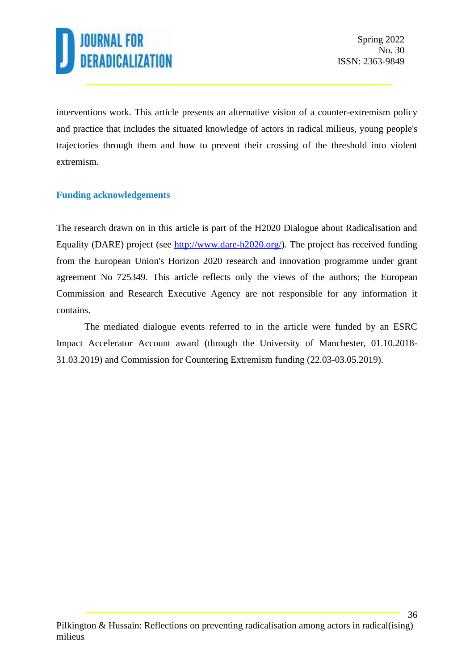

interventions work. This article presents an alternative vision of a counter-extremism policy and practice that includes the situated knowledge of actors in radical milieus, young people's trajectories through them and how to prevent their crossing of the threshold into violent extremism.

#### **Funding acknowledgements**

The research drawn on in this article is part of the H2020 Dialogue about Radicalisation and Equality (DARE) project (see [http://www.dare-h2020.org/\)](http://www.dare-h2020.org/). The project has received funding from the European Union's Horizon 2020 research and innovation programme under grant agreement No 725349. This article reflects only the views of the authors; the European Commission and Research Executive Agency are not responsible for any information it contains.

The mediated dialogue events referred to in the article were funded by an ESRC Impact Accelerator Account award (through the University of Manchester, 01.10.2018- 31.03.2019) and Commission for Countering Extremism funding (22.03-03.05.2019).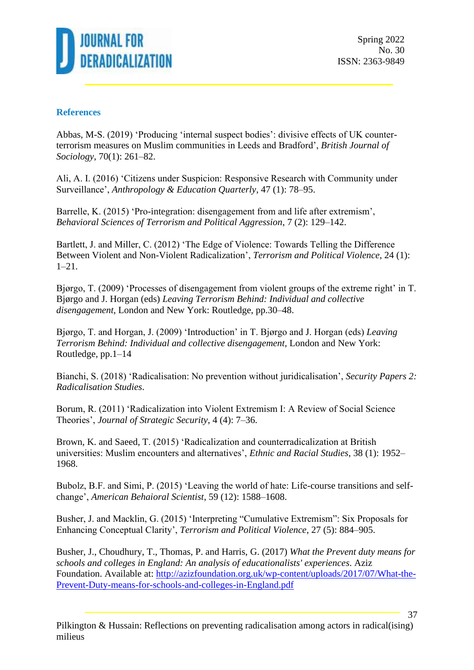

Spring 2022 No. 30 ISSN: 2363-9849

#### **References**

Abbas, M-S. (2019) 'Producing 'internal suspect bodies': divisive effects of UK counterterrorism measures on Muslim communities in Leeds and Bradford', *British Journal of Sociology*, 70(1): 261–82.

Ali, A. I. (2016) 'Citizens under Suspicion: Responsive Research with Community under Surveillance', *Anthropology & Education Quarterly*, 47 (1): 78–95.

Barrelle, K. (2015) 'Pro-integration: disengagement from and life after extremism', *Behavioral Sciences of Terrorism and Political Aggression*, 7 (2): 129–142.

Bartlett, J. and Miller, C. (2012) 'The Edge of Violence: Towards Telling the Difference Between Violent and Non-Violent Radicalization', *Terrorism and Political Violence*, 24 (1): 1–21.

Bjørgo, T. (2009) 'Processes of disengagement from violent groups of the extreme right' in T. Bjørgo and J. Horgan (eds) *Leaving Terrorism Behind: Individual and collective disengagement*, London and New York: Routledge, pp.30–48.

Bjørgo, T. and Horgan, J. (2009) 'Introduction' in T. Bjørgo and J. Horgan (eds) *Leaving Terrorism Behind: Individual and collective disengagement*, London and New York: Routledge, pp.1–14

Bianchi, S. (2018) 'Radicalisation: No prevention without juridicalisation', *Security Papers 2: Radicalisation Studies*.

Borum, R. (2011) 'Radicalization into Violent Extremism I: A Review of Social Science Theories', *Journal of Strategic Security*, 4 (4): 7–36.

Brown, K. and Saeed, T. (2015) 'Radicalization and counterradicalization at British universities: Muslim encounters and alternatives', *Ethnic and Racial Studies*, 38 (1): 1952– 1968.

Bubolz, B.F. and Simi, P. (2015) 'Leaving the world of hate: Life-course transitions and selfchange', *American Behaioral Scientist*, 59 (12): 1588–1608.

Busher, J. and Macklin, G. (2015) 'Interpreting "Cumulative Extremism": Six Proposals for Enhancing Conceptual Clarity', *Terrorism and Political Violence*, 27 (5): 884–905.

Busher, J., Choudhury, T., Thomas, P. and Harris, G. (2017) *What the Prevent duty means for schools and colleges in England: An analysis of educationalists' experiences*. Aziz Foundation. Available at: [http://azizfoundation.org.uk/wp-content/uploads/2017/07/What-the-](http://azizfoundation.org.uk/wp-content/uploads/2017/07/What-the-Prevent-Duty-means-for-schools-and-colleges-in-England.pdf)[Prevent-Duty-means-for-schools-and-colleges-in-England.pdf](http://azizfoundation.org.uk/wp-content/uploads/2017/07/What-the-Prevent-Duty-means-for-schools-and-colleges-in-England.pdf)

37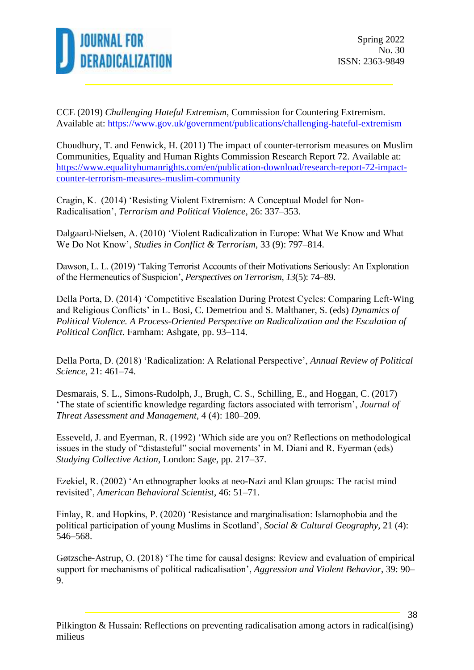

CCE (2019) *Challenging Hateful Extremism*, Commission for Countering Extremism. Available at:<https://www.gov.uk/government/publications/challenging-hateful-extremism>

Choudhury, T. and Fenwick, H. (2011) The impact of counter-terrorism measures on Muslim Communities, Equality and Human Rights Commission Research Report 72. Available at: [https://www.equalityhumanrights.com/en/publication-download/research-report-72-impact](https://www.equalityhumanrights.com/en/publication-download/research-report-72-impact-counter-terrorism-measures-muslim-community)[counter-terrorism-measures-muslim-community](https://www.equalityhumanrights.com/en/publication-download/research-report-72-impact-counter-terrorism-measures-muslim-community)

Cragin, K. (2014) 'Resisting Violent Extremism: A Conceptual Model for Non-Radicalisation', *Terrorism and Political Violence*, 26: 337–353.

Dalgaard-Nielsen, A. (2010) 'Violent Radicalization in Europe: What We Know and What We Do Not Know', *Studies in Conflict & Terrorism*, 33 (9): 797–814.

Dawson, L. L. (2019) 'Taking Terrorist Accounts of their Motivations Seriously: An Exploration of the Hermeneutics of Suspicion', *Perspectives on Terrorism*, *13*(5): 74–89.

Della Porta, D. (2014) 'Competitive Escalation During Protest Cycles: Comparing Left-Wing and Religious Conflicts' in L. Bosi, C. Demetriou and S. Malthaner, S. (eds) *Dynamics of Political Violence. A Process-Oriented Perspective on Radicalization and the Escalation of Political Conflict.* Farnham: Ashgate, pp. 93–114.

Della Porta, D. (2018) 'Radicalization: A Relational Perspective', *Annual Review of Political Science*, 21: 461–74.

Desmarais, S. L., Simons-Rudolph, J., Brugh, C. S., Schilling, E., and Hoggan, C. (2017) 'The state of scientific knowledge regarding factors associated with terrorism', *Journal of Threat Assessment and Management*, 4 (4): 180–209.

Esseveld, J. and Eyerman, R. (1992) 'Which side are you on? Reflections on methodological issues in the study of "distasteful" social movements' in M. Diani and R. Eyerman (eds) *Studying Collective Action*, London: Sage, pp. 217–37.

Ezekiel, R. (2002) 'An ethnographer looks at neo-Nazi and Klan groups: The racist mind revisited', *American Behavioral Scientist*, 46: 51–71.

Finlay, R. and Hopkins, P. (2020) 'Resistance and marginalisation: Islamophobia and the political participation of young Muslims in Scotland', *Social & Cultural Geography*, 21 (4): 546–568.

Gøtzsche-Astrup, O. (2018) 'The time for causal designs: Review and evaluation of empirical support for mechanisms of political radicalisation', *Aggression and Violent Behavior*, 39: 90– 9.

38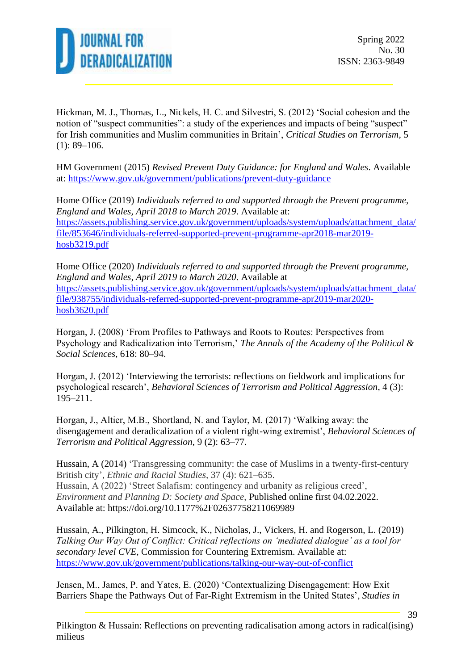

Hickman, M. J., Thomas, L., Nickels, H. C. and Silvestri, S. (2012) 'Social cohesion and the notion of "suspect communities": a study of the experiences and impacts of being "suspect" for Irish communities and Muslim communities in Britain', *Critical Studies on Terrorism*, 5  $(1): 89-106.$ 

HM Government (2015) *Revised Prevent Duty Guidance: for England and Wales*. Available at:<https://www.gov.uk/government/publications/prevent-duty-guidance>

Home Office (2019) *Individuals referred to and supported through the Prevent programme, England and Wales, April 2018 to March 2019*. Available at: [https://assets.publishing.service.gov.uk/government/uploads/system/uploads/attachment\\_data/](https://assets.publishing.service.gov.uk/government/uploads/system/uploads/attachment_data/file/853646/individuals-referred-supported-prevent-programme-apr2018-mar2019-hosb3219.pdf) [file/853646/individuals-referred-supported-prevent-programme-apr2018-mar2019](https://assets.publishing.service.gov.uk/government/uploads/system/uploads/attachment_data/file/853646/individuals-referred-supported-prevent-programme-apr2018-mar2019-hosb3219.pdf) [hosb3219.pdf](https://assets.publishing.service.gov.uk/government/uploads/system/uploads/attachment_data/file/853646/individuals-referred-supported-prevent-programme-apr2018-mar2019-hosb3219.pdf)

Home Office (2020) *Individuals referred to and supported through the Prevent programme, England and Wales, April 2019 to March 2020*. Available at [https://assets.publishing.service.gov.uk/government/uploads/system/uploads/attachment\\_data/](https://assets.publishing.service.gov.uk/government/uploads/system/uploads/attachment_data/file/938755/individuals-referred-supported-prevent-programme-apr2019-mar2020-hosb3620.pdf) [file/938755/individuals-referred-supported-prevent-programme-apr2019-mar2020](https://assets.publishing.service.gov.uk/government/uploads/system/uploads/attachment_data/file/938755/individuals-referred-supported-prevent-programme-apr2019-mar2020-hosb3620.pdf) [hosb3620.pdf](https://assets.publishing.service.gov.uk/government/uploads/system/uploads/attachment_data/file/938755/individuals-referred-supported-prevent-programme-apr2019-mar2020-hosb3620.pdf)

Horgan, J. (2008) 'From Profiles to Pathways and Roots to Routes: Perspectives from Psychology and Radicalization into Terrorism,' *The Annals of the Academy of the Political & Social Sciences,* 618: 80–94.

Horgan, J. (2012) 'Interviewing the terrorists: reflections on fieldwork and implications for psychological research', *Behavioral Sciences of Terrorism and Political Aggression*, 4 (3): 195–211.

Horgan, J., Altier, M.B., Shortland, N. and Taylor, M. (2017) 'Walking away: the disengagement and deradicalization of a violent right-wing extremist', *Behavioral Sciences of Terrorism and Political Aggression*, 9 (2): 63–77.

Hussain, A (2014) 'Transgressing community: the case of Muslims in a twenty-first-century British city', *Ethnic and Racial Studies,* 37 (4): 621–635. Hussain, A (2022) 'Street Salafism: contingency and urbanity as religious creed', *Environment and Planning D: Society and Space*, Published online first 04.02.2022. Available at: https://doi.org/10.1177%2F02637758211069989

Hussain, A., Pilkington, H. Simcock, K., Nicholas, J., Vickers, H. and Rogerson, L. (2019) *Talking Our Way Out of Conflict: Critical reflections on 'mediated dialogue' as a tool for secondary level CVE*, Commission for Countering Extremism. Available at: <https://www.gov.uk/government/publications/talking-our-way-out-of-conflict>

Jensen, M., James, P. and Yates, E. (2020) 'Contextualizing Disengagement: How Exit Barriers Shape the Pathways Out of Far-Right Extremism in the United States', *Studies in*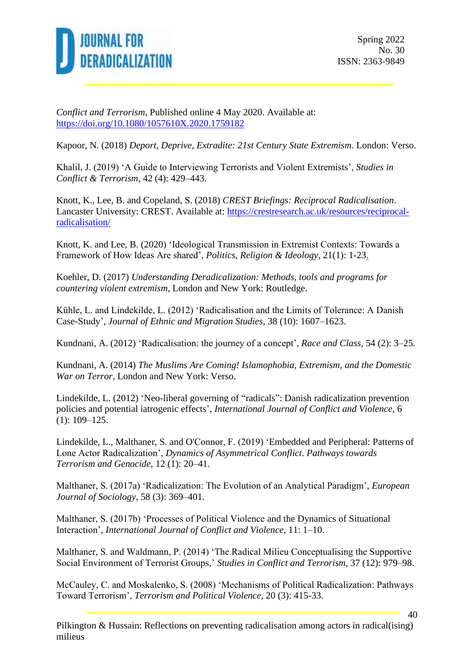

*Conflict and Terrorism*, Published online 4 May 2020. Available at: <https://doi.org/10.1080/1057610X.2020.1759182>

Kapoor, N. (2018) *Deport, Deprive, Extradite: 21st Century State Extremism*. London: Verso.

Khalil, J. (2019) 'A Guide to Interviewing Terrorists and Violent Extremists', *Studies in Conflict & Terrorism*, 42 (4): 429–443.

Knott, K., Lee, B. and Copeland, S. (2018) *CREST Briefings: Reciprocal Radicalisation*. Lancaster University: CREST. Available at: [https://crestresearch.ac.uk/resources/reciprocal](https://crestresearch.ac.uk/resources/reciprocal-radicalisation/)[radicalisation/](https://crestresearch.ac.uk/resources/reciprocal-radicalisation/)

Knott, K. and Lee, B. (2020) 'Ideological Transmission in Extremist Contexts: Towards a Framework of How Ideas Are shared', *Politics, Religion & Ideology*, 21(1): 1-23.

Koehler, D. (2017) *Understanding Deradicalization: Methods, tools and programs for countering violent extremism*, London and New York: Routledge.

Kühle, L. and Lindekilde, L. (2012) 'Radicalisation and the Limits of Tolerance: A Danish Case-Study', *Journal of Ethnic and Migration Studies,* 38 (10): 1607–1623.

Kundnani, A. (2012) 'Radicalisation: the journey of a concept', *Race and Class*, 54 (2): 3–25.

Kundnani*,* A. (2014) *The Muslims Are Coming! Islamophobia, Extremism, and the Domestic War on Terror*, London and New York: Verso.

Lindekilde, L. (2012) 'Neo-liberal governing of "radicals": Danish radicalization prevention policies and potential iatrogenic effects', *International Journal of Conflict and Violence*, 6 (1): 109–125.

Lindekilde, L., Malthaner, S. and O'Connor, F. (2019) 'Embedded and Peripheral: Patterns of Lone Actor Radicalization', *Dynamics of Asymmetrical Conflict*. *Pathways towards Terrorism and Genocide*, 12 (1): 20–41.

Malthaner, S. (2017a) 'Radicalization: The Evolution of an Analytical Paradigm', *European Journal of Sociology*, 58 (3): 369–401.

Malthaner, S. (2017b) 'Processes of Political Violence and the Dynamics of Situational Interaction', *International Journal of Conflict and Violence*, 11: 1–10.

Malthaner, S. and Waldmann, P. (2014) 'The Radical Milieu Conceptualising the Supportive Social Environment of Terrorist Groups,' *Studies in Conflict and Terrorism*, 37 (12): 979–98.

McCauley, C. and Moskalenko, S. (2008) 'Mechanisms of Political Radicalization: Pathways Toward Terrorism', *Terrorism and Political Violence*, 20 (3): 415-33.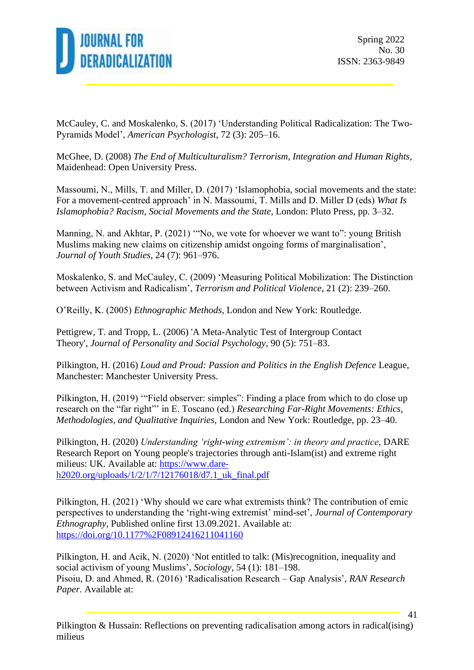

McCauley, C. and Moskalenko, S. (2017) 'Understanding Political Radicalization: The Two-Pyramids Model', *American Psychologist*, 72 (3): 205–16.

McGhee, D. (2008) *The End of Multiculturalism? Terrorism, Integration and Human Rights*, Maidenhead: Open University Press.

Massoumi, N., Mills, T. and Miller, D. (2017) 'Islamophobia, social movements and the state: For a movement-centred approach' in N. Massoumi, T. Mills and D. Miller D (eds) *What Is Islamophobia? Racism, Social Movements and the State*, London: Pluto Press, pp. 3–32.

Manning, N. and Akhtar, P. (2021) "No, we vote for whoever we want to": young British Muslims making new claims on citizenship amidst ongoing forms of marginalisation', *Journal of Youth Studies*, 24 (7): 961–976.

Moskalenko, S. and McCauley, C. (2009) 'Measuring Political Mobilization: The Distinction between Activism and Radicalism', *Terrorism and Political Violence*, 21 (2): 239–260.

O'Reilly, K. (2005) *Ethnographic Methods*, London and New York: Routledge.

Pettigrew, T. and Tropp, L. (2006) 'A Meta-Analytic Test of Intergroup Contact Theory', *Journal of Personality and Social Psychology*, 90 (5): 751–83.

Pilkington, H. (2016) *Loud and Proud: Passion and Politics in the English Defence* League, Manchester: Manchester University Press.

Pilkington, H. (2019) '"Field observer: simples": Finding a place from which to do close up research on the "far right"' in E. Toscano (ed.) *Researching Far-Right Movements: Ethics, Methodologies, and Qualitative Inquiries*, London and New York: Routledge, pp. 23–40.

Pilkington, H. (2020) *Understanding 'right-wing extremism': in theory and practice*, DARE Research Report on Young people's trajectories through anti-Islam(ist) and extreme right milieus: UK. Available at: [https://www.dare](https://www.dare-h2020.org/uploads/1/2/1/7/12176018/d7.1_uk_final.pdf)[h2020.org/uploads/1/2/1/7/12176018/d7.1\\_uk\\_final.pdf](https://www.dare-h2020.org/uploads/1/2/1/7/12176018/d7.1_uk_final.pdf)

Pilkington, H. (2021) 'Why should we care what extremists think? The contribution of emic perspectives to understanding the 'right-wing extremist' mind-set', *Journal of Contemporary Ethnography*, Published online first 13.09.2021. Available at: <https://doi.org/10.1177%2F08912416211041160>

Pilkington, H. and Acik, N. (2020) 'Not entitled to talk: (Mis)recognition, inequality and social activism of young Muslims', *Sociology*, 54 (1): 181–198. Pisoiu, D. and Ahmed, R. (2016) 'Radicalisation Research – Gap Analysis', *RAN Research Paper*. Available at: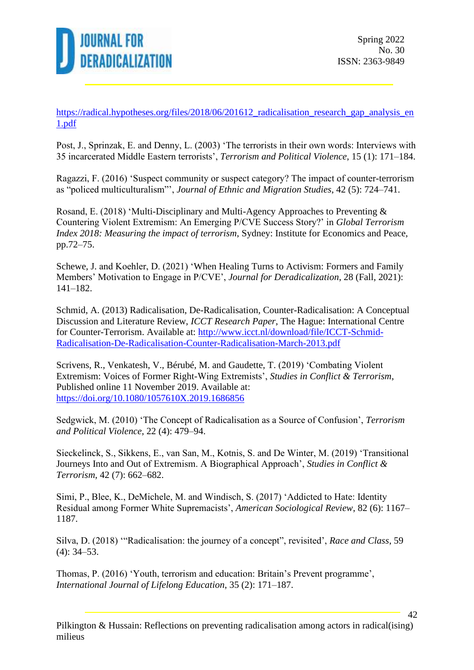

https://radical.hypotheses.org/files/2018/06/201612 radicalisation research gap analysis en [1.pdf](https://radical.hypotheses.org/files/2018/06/201612_radicalisation_research_gap_analysis_en1.pdf)

Post, J., Sprinzak, E. and Denny, L. (2003) 'The terrorists in their own words: Interviews with 35 incarcerated Middle Eastern terrorists', *Terrorism and Political Violence*, 15 (1): 171–184.

Ragazzi, F. (2016) 'Suspect community or suspect category? The impact of counter-terrorism as "policed multiculturalism"', *Journal of Ethnic and Migration Studies*, 42 (5): 724–741.

Rosand, E. (2018) 'Multi-Disciplinary and Multi-Agency Approaches to Preventing & Countering Violent Extremism: An Emerging P/CVE Success Story?' in *Global Terrorism Index 2018: Measuring the impact of terrorism*, Sydney: Institute for Economics and Peace, pp.72–75.

Schewe, J. and Koehler, D. (2021) ['When Healing Turns to Activism: Formers and Family](https://journals.sfu.ca/jd/index.php/jd/article/view/497)  [Members' Motivation to Engage in P/CVE',](https://journals.sfu.ca/jd/index.php/jd/article/view/497) *Journal for Deradicalization*, 28 (Fall, 2021): 141–182.

Schmid, A. (2013) Radicalisation, De-Radicalisation, Counter-Radicalisation: A Conceptual Discussion and Literature Review, *ICCT Research Paper*, The Hague: International Centre for Counter-Terrorism. Available at: [http://www.icct.nl/download/file/ICCT-Schmid-](http://www.icct.nl/download/file/ICCT-Schmid-Radicalisation-De-Radicalisation-Counter-Radicalisation-March-2013.pdf)[Radicalisation-De-Radicalisation-Counter-Radicalisation-March-2013.pdf](http://www.icct.nl/download/file/ICCT-Schmid-Radicalisation-De-Radicalisation-Counter-Radicalisation-March-2013.pdf)

Scrivens, R., Venkatesh, V., Bérubé, M. and Gaudette, T. (2019) 'Combating Violent Extremism: Voices of Former Right-Wing Extremists', *Studies in Conflict & Terrorism*, Published online 11 November 2019. Available at: <https://doi.org/10.1080/1057610X.2019.1686856>

Sedgwick, M. (2010) 'The Concept of Radicalisation as a Source of Confusion', *Terrorism and Political Violence*, 22 (4): 479–94.

Sieckelinck, S., Sikkens, E., van San, M., Kotnis, S. and De Winter, M. (2019) 'Transitional Journeys Into and Out of Extremism. A Biographical Approach', *Studies in Conflict & Terrorism*, 42 (7): 662–682.

Simi, P., Blee, K., DeMichele, M. and Windisch, S. (2017) 'Addicted to Hate: Identity Residual among Former White Supremacists', *American Sociological Review*, 82 (6): 1167– 1187.

Silva, D. (2018) '"Radicalisation: the journey of a concept", revisited', *Race and Class*, 59 (4): 34–53.

Thomas, P. (2016) 'Youth, terrorism and education: Britain's Prevent programme', *International Journal of Lifelong Education*, 35 (2): 171–187.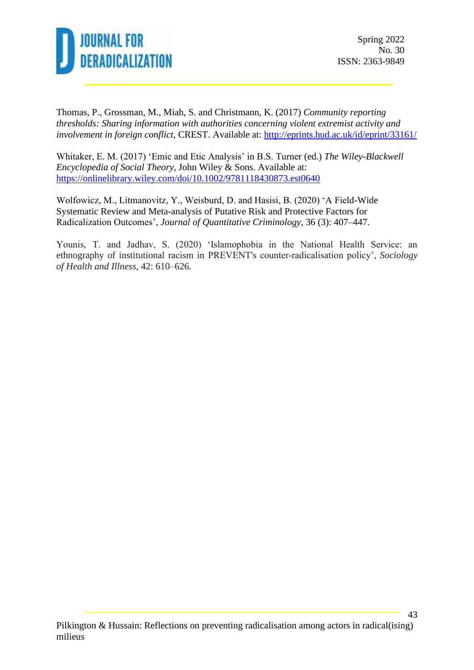

Thomas, P., Grossman, M., Miah, S. and Christmann, K. (2017) *Community reporting thresholds: Sharing information with authorities concerning violent extremist activity and involvement in foreign conflict*, CREST. Available at:<http://eprints.hud.ac.uk/id/eprint/33161/>

Whitaker, E. M. (2017) 'Emic and Etic Analysis' in B.S. Turner (ed.) *The Wiley-Blackwell Encyclopedia of Social Theory*, John Wiley & Sons. Available at: <https://onlinelibrary.wiley.com/doi/10.1002/9781118430873.est0640>

Wolfowicz, M., Litmanovitz, Y., Weisburd, D. and Hasisi, B. (2020) 'A Field-Wide Systematic Review and Meta-analysis of Putative Risk and Protective Factors for Radicalization Outcomes', *Journal of Quantitative Criminology*, 36 (3): 407–447.

Younis, T. and Jadhav, S. (2020) 'Islamophobia in the National Health Service: an ethnography of institutional racism in PREVENT's counter‐radicalisation policy', *Sociology of Health and Illness*, 42: 610–626.